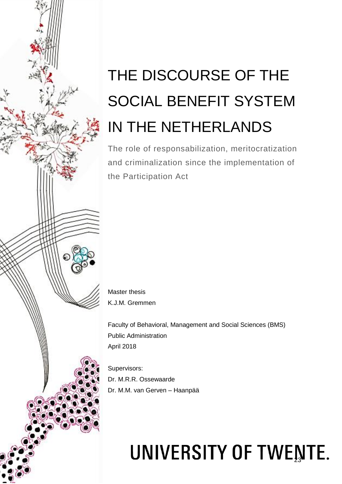# THE DISCOURSE OF THE SOCIAL BENEFIT SYSTEM IN THE NETHERLANDS

The role of responsabilization, meritocratization and criminalization since the implementation of the Participation Act

Master thesis K.J.M. Gremmen

Faculty of Behavioral, Management and Social Sciences (BMS) Public Administration April 2018

Supervisors: Dr. M.R.R. Ossewaarde Dr. M.M. van Gerven – Haanpää

# UNIVERSITY OF TWENTE.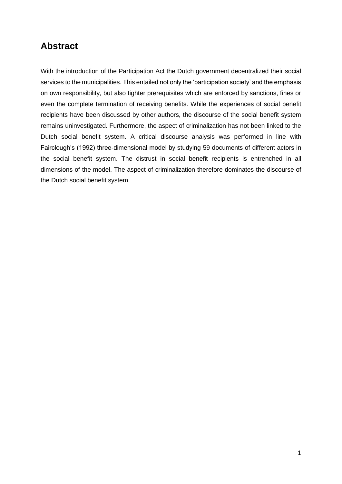# <span id="page-1-0"></span>**Abstract**

With the introduction of the Participation Act the Dutch government decentralized their social services to the municipalities. This entailed not only the 'participation society' and the emphasis on own responsibility, but also tighter prerequisites which are enforced by sanctions, fines or even the complete termination of receiving benefits. While the experiences of social benefit recipients have been discussed by other authors, the discourse of the social benefit system remains uninvestigated. Furthermore, the aspect of criminalization has not been linked to the Dutch social benefit system. A critical discourse analysis was performed in line with Fairclough's (1992) three-dimensional model by studying 59 documents of different actors in the social benefit system. The distrust in social benefit recipients is entrenched in all dimensions of the model. The aspect of criminalization therefore dominates the discourse of the Dutch social benefit system.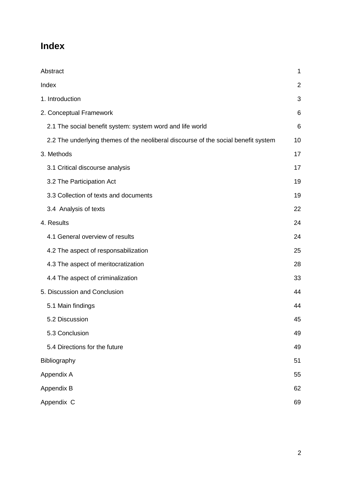# <span id="page-2-0"></span>**Index**

| Abstract                                                                           | 1  |
|------------------------------------------------------------------------------------|----|
| Index                                                                              | 2  |
| 1. Introduction                                                                    | 3  |
| 2. Conceptual Framework                                                            | 6  |
| 2.1 The social benefit system: system word and life world                          | 6  |
| 2.2 The underlying themes of the neoliberal discourse of the social benefit system | 10 |
| 3. Methods                                                                         | 17 |
| 3.1 Critical discourse analysis                                                    | 17 |
| 3.2 The Participation Act                                                          | 19 |
| 3.3 Collection of texts and documents                                              | 19 |
| 3.4 Analysis of texts                                                              | 22 |
| 4. Results                                                                         | 24 |
| 4.1 General overview of results                                                    | 24 |
| 4.2 The aspect of responsabilization                                               | 25 |
| 4.3 The aspect of meritocratization                                                | 28 |
| 4.4 The aspect of criminalization                                                  | 33 |
| 5. Discussion and Conclusion                                                       | 44 |
| 5.1 Main findings                                                                  | 44 |
| 5.2 Discussion                                                                     | 45 |
| 5.3 Conclusion                                                                     | 49 |
| 5.4 Directions for the future                                                      | 49 |
| Bibliography                                                                       | 51 |
| Appendix A                                                                         | 55 |
| Appendix B                                                                         | 62 |
| Appendix C                                                                         | 69 |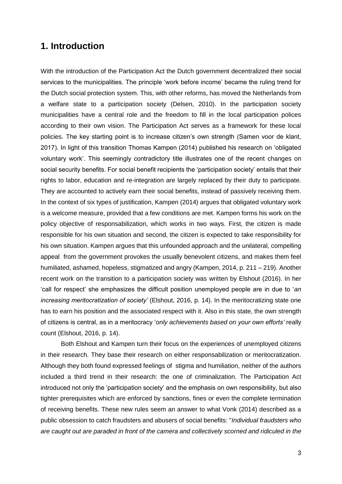# <span id="page-3-0"></span>**1. Introduction**

With the introduction of the Participation Act the Dutch government decentralized their social services to the municipalities. The principle 'work before income' became the ruling trend for the Dutch social protection system. This, with other reforms, has moved the Netherlands from a welfare state to a participation society (Delsen, 2010). In the participation society municipalities have a central role and the freedom to fill in the local participation polices according to their own vision. The Participation Act serves as a framework for these local policies. The key starting point is to increase citizen's own strength (Samen voor de klant, 2017). In light of this transition Thomas Kampen (2014) published his research on 'obligated voluntary work'. This seemingly contradictory title illustrates one of the recent changes on social security benefits. For social benefit recipients the 'participation society' entails that their rights to labor, education and re-integration are largely replaced by their duty to participate. They are accounted to actively earn their social benefits, instead of passively receiving them. In the context of six types of justification, Kampen (2014) argues that obligated voluntary work is a welcome measure, provided that a few conditions are met. Kampen forms his work on the policy objective of responsabilization, which works in two ways. First, the citizen is made responsible for his own situation and second, the citizen is expected to take responsibility for his own situation. Kampen argues that this unfounded approach and the unilateral, compelling appeal from the government provokes the usually benevolent citizens, and makes them feel humiliated, ashamed, hopeless, stigmatized and angry (Kampen, 2014, p. 211 – 219). Another recent work on the transition to a participation society was written by Elshout (2016). In her 'call for respect' she emphasizes the difficult position unemployed people are in due to '*an increasing meritocratization of society'* (Elshout, 2016, p. 14). In the meritocratizing state one has to earn his position and the associated respect with it. Also in this state, the own strength of citizens is central, as in a meritocracy '*only achievements based on your own efforts'* really count (Elshout, 2016, p. 14).

Both Elshout and Kampen turn their focus on the experiences of unemployed citizens in their research. They base their research on either responsabilization or meritocratization. Although they both found expressed feelings of stigma and humiliation, neither of the authors included a third trend in their research: the one of criminalization. The Participation Act introduced not only the 'participation society' and the emphasis on own responsibility, but also tighter prerequisites which are enforced by sanctions, fines or even the complete termination of receiving benefits. These new rules seem an answer to what Vonk (2014) described as a public obsession to catch fraudsters and abusers of social benefits: "*Individual fraudsters who are caught out are paraded in front of the camera and collectively scorned and ridiculed in the*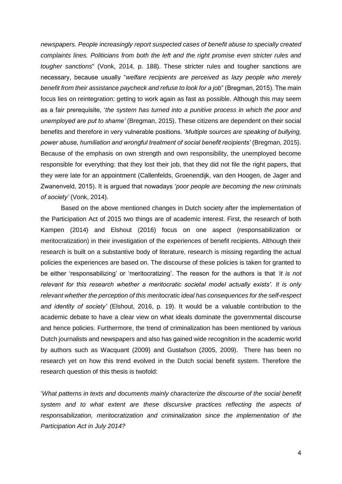*newspapers. People increasingly report suspected cases of benefit abuse to specially created complaints lines. Politicians from both the left and the right promise even stricter rules and tougher sanctions*" (Vonk, 2014, p. 188). These stricter rules and tougher sanctions are necessary, because usually "*welfare recipients are perceived as lazy people who merely benefit from their assistance paycheck and refuse to look for a job*" (Bregman, 2015). The main focus lies on reintegration: getting to work again as fast as possible. Although this may seem as a fair prerequisite, '*the system has turned into a punitive process in which the poor and unemployed are put to shame'* (Bregman, 2015). These citizens are dependent on their social benefits and therefore in very vulnerable positions. '*Multiple sources are speaking of bullying, power abuse, humiliation and wrongful treatment of social benefit recipients'* (Bregman, 2015). Because of the emphasis on own strength and own responsibility, the unemployed become responsible for everything: that they lost their job, that they did not file the right papers, that they were late for an appointment (Callenfelds, Groenendijk, van den Hoogen, de Jager and Zwanenveld, 2015). It is argued that nowadays '*poor people are becoming the new criminals of society'* (Vonk, 2014).

Based on the above mentioned changes in Dutch society after the implementation of the Participation Act of 2015 two things are of academic interest. First, the research of both Kampen (2014) and Elshout (2016) focus on one aspect (responsabilization or meritocratization) in their investigation of the experiences of benefit recipients. Although their research is built on a substantive body of literature, research is missing regarding the actual policies the experiences are based on. The discourse of these policies is taken for granted to be either 'responsabilizing' or 'meritocratizing'. The reason for the authors is that *'it is not relevant for this research whether a meritocratic societal model actually exists'. It is only relevant whether the perception of this meritocratic ideal has consequences for the self-respect and identity of society'* (Elshout, 2016, p. 19). It would be a valuable contribution to the academic debate to have a clear view on what ideals dominate the governmental discourse and hence policies. Furthermore, the trend of criminalization has been mentioned by various Dutch journalists and newspapers and also has gained wide recognition in the academic world by authors such as Wacquant (2009) and Gustafson (2005, 2009). There has been no research yet on how this trend evolved in the Dutch social benefit system. Therefore the research question of this thesis is twofold:

'*What patterns in texts and documents mainly characterize the discourse of the social benefit system and to what extent are these discursive practices reflecting the aspects of responsabilization, meritocratization and criminalization since the implementation of the Participation Act in July 2014?*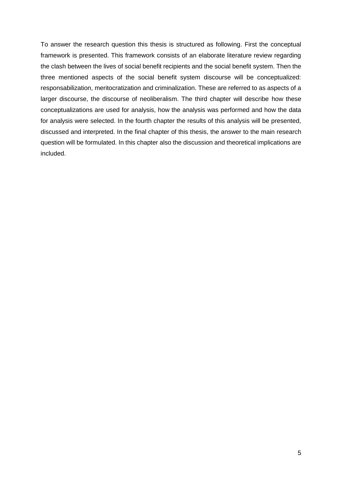To answer the research question this thesis is structured as following. First the conceptual framework is presented. This framework consists of an elaborate literature review regarding the clash between the lives of social benefit recipients and the social benefit system. Then the three mentioned aspects of the social benefit system discourse will be conceptualized: responsabilization, meritocratization and criminalization. These are referred to as aspects of a larger discourse, the discourse of neoliberalism. The third chapter will describe how these conceptualizations are used for analysis, how the analysis was performed and how the data for analysis were selected. In the fourth chapter the results of this analysis will be presented, discussed and interpreted. In the final chapter of this thesis, the answer to the main research question will be formulated. In this chapter also the discussion and theoretical implications are included.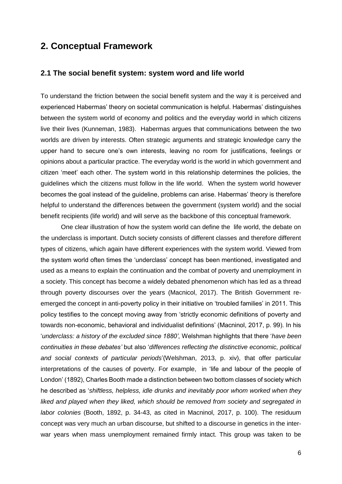# <span id="page-6-0"></span>**2. Conceptual Framework**

### <span id="page-6-1"></span>**2.1 The social benefit system: system word and life world**

To understand the friction between the social benefit system and the way it is perceived and experienced Habermas' theory on societal communication is helpful. Habermas' distinguishes between the system world of economy and politics and the everyday world in which citizens live their lives (Kunneman, 1983). Habermas argues that communications between the two worlds are driven by interests. Often strategic arguments and strategic knowledge carry the upper hand to secure one's own interests, leaving no room for justifications, feelings or opinions about a particular practice. The everyday world is the world in which government and citizen 'meet' each other. The system world in this relationship determines the policies, the guidelines which the citizens must follow in the life world. When the system world however becomes the goal instead of the guideline, problems can arise. Habermas' theory is therefore helpful to understand the differences between the government (system world) and the social benefit recipients (life world) and will serve as the backbone of this conceptual framework.

One clear illustration of how the system world can define the life world, the debate on the underclass is important. Dutch society consists of different classes and therefore different types of citizens, which again have different experiences with the system world. Viewed from the system world often times the 'underclass' concept has been mentioned, investigated and used as a means to explain the continuation and the combat of poverty and unemployment in a society. This concept has become a widely debated phenomenon which has led as a thread through poverty discourses over the years (Macnicol, 2017). The British Government reemerged the concept in anti-poverty policy in their initiative on 'troubled families' in 2011. This policy testifies to the concept moving away from 'strictly economic definitions of poverty and towards non-economic, behavioral and individualist definitions' (Macninol, 2017, p. 99). In his '*underclass: a history of the excluded since 1880'*, Welshman highlights that there '*have been continuities in these debates'* but also '*differences reflecting the distinctive economic, political and social contexts of particular periods*'(Welshman, 2013, p. xiv), that offer particular interpretations of the causes of poverty. For example, in 'life and labour of the people of London' (1892), Charles Booth made a distinction between two bottom classes of society which he described as '*shiftless, helpless, idle drunks and inevitably poor whom worked when they liked and played when they liked, which should be removed from society and segregated in labor colonies* (Booth, 1892, p. 34-43, as cited in Macninol, 2017, p. 100). The residuum concept was very much an urban discourse, but shifted to a discourse in genetics in the interwar years when mass unemployment remained firmly intact. This group was taken to be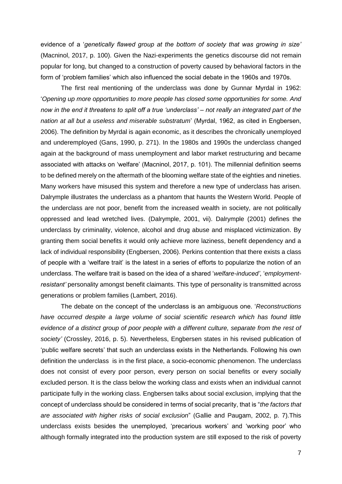evidence of a '*genetically flawed group at the bottom of society that was growing in size'* (Macninol, 2017, p. 100). Given the Nazi-experiments the genetics discourse did not remain popular for long, but changed to a construction of poverty caused by behavioral factors in the form of 'problem families' which also influenced the social debate in the 1960s and 1970s.

The first real mentioning of the underclass was done by Gunnar Myrdal in 1962: '*Opening up more opportunities to more people has closed some opportunities for some. And now in the end it threatens to split off a true 'underclass' – not really an integrated part of the nation at all but a useless and miserable substratum*' (Myrdal, 1962, as cited in Engbersen, 2006). The definition by Myrdal is again economic, as it describes the chronically unemployed and underemployed (Gans, 1990, p. 271). In the 1980s and 1990s the underclass changed again at the background of mass unemployment and labor market restructuring and became associated with attacks on 'welfare' (Macninol, 2017, p. 101). The millennial definition seems to be defined merely on the aftermath of the blooming welfare state of the eighties and nineties. Many workers have misused this system and therefore a new type of underclass has arisen. Dalrymple illustrates the underclass as a phantom that haunts the Western World. People of the underclass are not poor, benefit from the increased wealth in society, are not politically oppressed and lead wretched lives. (Dalrymple, 2001, vii). Dalrymple (2001) defines the underclass by criminality, violence, alcohol and drug abuse and misplaced victimization. By granting them social benefits it would only achieve more laziness, benefit dependency and a lack of individual responsibility (Engbersen, 2006). Perkins contention that there exists a class of people with a 'welfare trait' is the latest in a series of efforts to popularize the notion of an underclass. The welfare trait is based on the idea of a shared '*welfare-induced'*, '*employmentresistant'* personality amongst benefit claimants. This type of personality is transmitted across generations or problem families (Lambert, 2016).

The debate on the concept of the underclass is an ambiguous one. '*Reconstructions have occurred despite a large volume of social scientific research which has found little evidence of a distinct group of poor people with a different culture, separate from the rest of society'* (Crossley, 2016, p. 5). Nevertheless, Engbersen states in his revised publication of 'public welfare secrets' that such an underclass exists in the Netherlands. Following his own definition the underclass is in the first place, a socio-economic phenomenon. The underclass does not consist of every poor person, every person on social benefits or every socially excluded person. It is the class below the working class and exists when an individual cannot participate fully in the working class. Engbersen talks about social exclusion, implying that the concept of underclass should be considered in terms of social precarity, that is "*the factors that are associated with higher risks of social exclusion*" (Gallie and Paugam, 2002, p. 7).This underclass exists besides the unemployed, 'precarious workers' and 'working poor' who although formally integrated into the production system are still exposed to the risk of poverty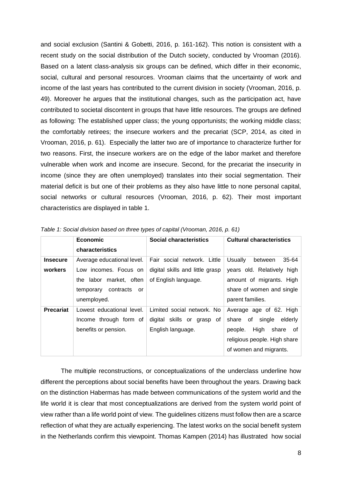and social exclusion (Santini & Gobetti, 2016, p. 161-162). This notion is consistent with a recent study on the social distribution of the Dutch society, conducted by Vrooman (2016). Based on a latent class-analysis six groups can be defined, which differ in their economic, social, cultural and personal resources. Vrooman claims that the uncertainty of work and income of the last years has contributed to the current division in society (Vrooman, 2016, p. 49). Moreover he argues that the institutional changes, such as the participation act, have contributed to societal discontent in groups that have little resources. The groups are defined as following: The established upper class; the young opportunists; the working middle class; the comfortably retirees; the insecure workers and the precariat (SCP, 2014, as cited in Vrooman, 2016, p. 61). Especially the latter two are of importance to characterize further for two reasons. First, the insecure workers are on the edge of the labor market and therefore vulnerable when work and income are insecure. Second, for the precariat the insecurity in income (since they are often unemployed) translates into their social segmentation. Their material deficit is but one of their problems as they also have little to none personal capital, social networks or cultural resources (Vrooman, 2016, p. 62). Their most important characteristics are displayed in table 1.

|                  | <b>Economic</b>              | Social characteristics          | <b>Cultural characteristics</b>    |
|------------------|------------------------------|---------------------------------|------------------------------------|
|                  | characteristics              |                                 |                                    |
| <b>Insecure</b>  | Average educational level.   | Fair social network. Little     | <b>Usually</b><br>35-64<br>between |
| workers          | Low incomes. Focus on        | digital skills and little grasp | years old. Relatively high         |
|                  | the labor market, often      | of English language.            | amount of migrants. High           |
|                  | temporary<br>contracts<br>or |                                 | share of women and single          |
|                  | unemployed.                  |                                 | parent families.                   |
| <b>Precariat</b> | Lowest educational level.    | Limited social network. No      | Average age of 62. High            |
|                  | Income through form of       | digital skills or<br>grasp of   | single elderly<br>share<br>of      |
|                  | benefits or pension.         | English language.               | High<br>share<br>of<br>people.     |
|                  |                              |                                 | religious people. High share       |
|                  |                              |                                 | of women and migrants.             |

*Table 1: Social division based on three types of capital (Vrooman, 2016, p. 61)*

The multiple reconstructions, or conceptualizations of the underclass underline how different the perceptions about social benefits have been throughout the years. Drawing back on the distinction Habermas has made between communications of the system world and the life world it is clear that most conceptualizations are derived from the system world point of view rather than a life world point of view. The guidelines citizens must follow then are a scarce reflection of what they are actually experiencing. The latest works on the social benefit system in the Netherlands confirm this viewpoint. Thomas Kampen (2014) has illustrated how social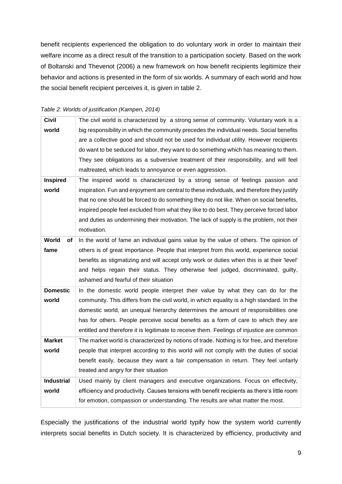benefit recipients experienced the obligation to do voluntary work in order to maintain their welfare income as a direct result of the transition to a participation society. Based on the work of Boltanski and Thevenot (2006) a new framework on how benefit recipients legitimize their behavior and actions is presented in the form of six worlds. A summary of each world and how the social benefit recipient perceives it, is given in table 2.

| <b>Civil</b>      | The civil world is characterized by a strong sense of community. Voluntary work is a        |
|-------------------|---------------------------------------------------------------------------------------------|
| world             | big responsibility in which the community precedes the individual needs. Social benefits    |
|                   | are a collective good and should not be used for individual utility. However recipients     |
|                   | do want to be seduced for labor, they want to do something which has meaning to them.       |
|                   | They see obligations as a subversive treatment of their responsibility, and will feel       |
|                   | maltreated, which leads to annoyance or even aggression.                                    |
| <b>Inspired</b>   | The inspired world is characterized by a strong sense of feelings passion and               |
| world             | inspiration. Fun and enjoyment are central to these individuals, and therefore they justify |
|                   | that no one should be forced to do something they do not like. When on social benefits,     |
|                   | inspired people feel excluded from what they like to do best. They perceive forced labor    |
|                   | and duties as undermining their motivation. The lack of supply is the problem, not their    |
|                   | motivation.                                                                                 |
| World<br>οf       | In the world of fame an individual gains value by the value of others. The opinion of       |
| fame              | others is of great importance. People that interpret from this world, experience social     |
|                   | benefits as stigmatizing and will accept only work or duties when this is at their 'level'  |
|                   | and helps regain their status. They otherwise feel judged, discriminated, guilty,           |
|                   | ashamed and fearful of their situation                                                      |
| <b>Domestic</b>   | In the domestic world people interpret their value by what they can do for the              |
| world             | community. This differs from the civil world, in which equality is a high standard. In the  |
|                   | domestic world, an unequal hierarchy determines the amount of responsibilities one          |
|                   | has for others. People perceive social benefits as a form of care to which they are         |
|                   | entitled and therefore it is legitimate to receive them. Feelings of injustice are common   |
| <b>Market</b>     | The market world is characterized by notions of trade. Nothing is for free, and therefore   |
| world             | people that interpret according to this world will not comply with the duties of social     |
|                   | benefit easily, because they want a fair compensation in return. They feel unfairly         |
|                   | treated and angry for their situation                                                       |
| <b>Industrial</b> | Used mainly by client managers and executive organizations. Focus on effectivity,           |
| world             | efficiency and productivity. Causes tensions with benefit recipients as there's little room |
|                   | for emotion, compassion or understanding. The results are what matter the most.             |

#### *Table 2: Worlds of justification (Kampen, 2014)*

Especially the justifications of the industrial world typify how the system world currently interprets social benefits in Dutch society. It is characterized by efficiency, productivity and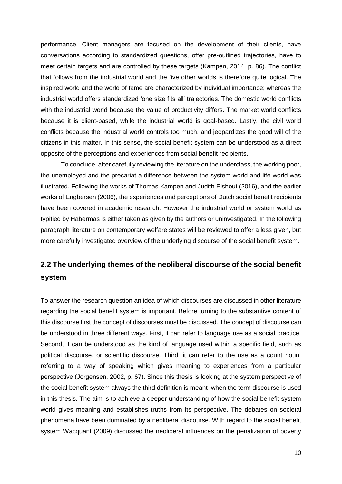performance. Client managers are focused on the development of their clients, have conversations according to standardized questions, offer pre-outlined trajectories, have to meet certain targets and are controlled by these targets (Kampen, 2014, p. 86). The conflict that follows from the industrial world and the five other worlds is therefore quite logical. The inspired world and the world of fame are characterized by individual importance; whereas the industrial world offers standardized 'one size fits all' trajectories. The domestic world conflicts with the industrial world because the value of productivity differs. The market world conflicts because it is client-based, while the industrial world is goal-based. Lastly, the civil world conflicts because the industrial world controls too much, and jeopardizes the good will of the citizens in this matter. In this sense, the social benefit system can be understood as a direct opposite of the perceptions and experiences from social benefit recipients.

To conclude, after carefully reviewing the literature on the underclass, the working poor, the unemployed and the precariat a difference between the system world and life world was illustrated. Following the works of Thomas Kampen and Judith Elshout (2016), and the earlier works of Engbersen (2006), the experiences and perceptions of Dutch social benefit recipients have been covered in academic research. However the industrial world or system world as typified by Habermas is either taken as given by the authors or uninvestigated. In the following paragraph literature on contemporary welfare states will be reviewed to offer a less given, but more carefully investigated overview of the underlying discourse of the social benefit system.

# <span id="page-10-0"></span>**2.2 The underlying themes of the neoliberal discourse of the social benefit system**

To answer the research question an idea of which discourses are discussed in other literature regarding the social benefit system is important. Before turning to the substantive content of this discourse first the concept of discourses must be discussed. The concept of discourse can be understood in three different ways. First, it can refer to language use as a social practice. Second, it can be understood as the kind of language used within a specific field, such as political discourse, or scientific discourse. Third, it can refer to the use as a count noun, referring to a way of speaking which gives meaning to experiences from a particular perspective (Jorgensen, 2002, p. 67). Since this thesis is looking at the system perspective of the social benefit system always the third definition is meant when the term discourse is used in this thesis. The aim is to achieve a deeper understanding of how the social benefit system world gives meaning and establishes truths from its perspective. The debates on societal phenomena have been dominated by a neoliberal discourse. With regard to the social benefit system Wacquant (2009) discussed the neoliberal influences on the penalization of poverty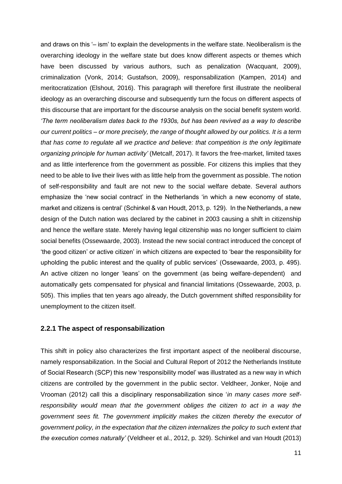and draws on this '– ism' to explain the developments in the welfare state. Neoliberalism is the overarching ideology in the welfare state but does know different aspects or themes which have been discussed by various authors, such as penalization (Wacquant, 2009), criminalization (Vonk, 2014; Gustafson, 2009), responsabilization (Kampen, 2014) and meritocratization (Elshout, 2016). This paragraph will therefore first illustrate the neoliberal ideology as an overarching discourse and subsequently turn the focus on different aspects of this discourse that are important for the discourse analysis on the social benefit system world. *'The term neoliberalism dates back to the 1930s, but has been revived as a way to describe our current politics – or more precisely, the range of thought allowed by our politics. It is a term that has come to regulate all we practice and believe: that competition is the only legitimate organizing principle for human activity'* (Metcalf, 2017). It favors the free-market, limited taxes and as little interference from the government as possible. For citizens this implies that they need to be able to live their lives with as little help from the government as possible. The notion of self-responsibility and fault are not new to the social welfare debate. Several authors emphasize the 'new social contract' in the Netherlands 'in which a new economy of state, market and citizens is central' (Schinkel & van Houdt, 2013, p. 129). In the Netherlands, a new design of the Dutch nation was declared by the cabinet in 2003 causing a shift in citizenship and hence the welfare state. Merely having legal citizenship was no longer sufficient to claim social benefits (Ossewaarde, 2003). Instead the new social contract introduced the concept of 'the good citizen' or active citizen' in which citizens are expected to 'bear the responsibility for upholding the public interest and the quality of public services' (Ossewaarde, 2003, p. 495). An active citizen no longer 'leans' on the government (as being welfare-dependent) and automatically gets compensated for physical and financial limitations (Ossewaarde, 2003, p. 505). This implies that ten years ago already, the Dutch government shifted responsibility for unemployment to the citizen itself.

#### **2.2.1 The aspect of responsabilization**

This shift in policy also characterizes the first important aspect of the neoliberal discourse, namely responsabilization. In the Social and Cultural Report of 2012 the Netherlands Institute of Social Research (SCP) this new 'responsibility model' was illustrated as a new way in which citizens are controlled by the government in the public sector. Veldheer, Jonker, Noije and Vrooman (2012) call this a disciplinary responsabilization since '*in many cases more selfresponsibility would mean that the government obliges the citizen to act in a way the government sees fit. The government implicitly makes the citizen thereby the executor of government policy, in the expectation that the citizen internalizes the policy to such extent that the execution comes naturally'* (Veldheer et al., 2012, p. 329). Schinkel and van Houdt (2013)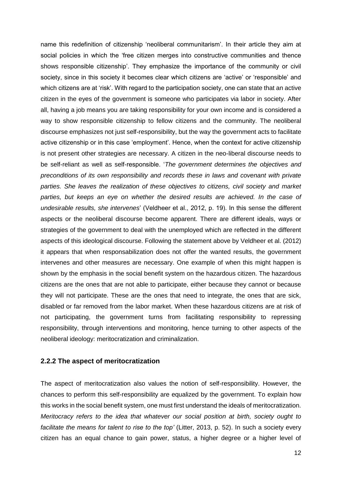name this redefinition of citizenship 'neoliberal communitarism'. In their article they aim at social policies in which the 'free citizen merges into constructive communities and thence shows responsible citizenship'. They emphasize the importance of the community or civil society, since in this society it becomes clear which citizens are 'active' or 'responsible' and which citizens are at 'risk'. With regard to the participation society, one can state that an active citizen in the eyes of the government is someone who participates via labor in society. After all, having a job means you are taking responsibility for your own income and is considered a way to show responsible citizenship to fellow citizens and the community. The neoliberal discourse emphasizes not just self-responsibility, but the way the government acts to facilitate active citizenship or in this case 'employment'. Hence, when the context for active citizenship is not present other strategies are necessary. A citizen in the neo-liberal discourse needs to be self-reliant as well as self-responsible. '*The government determines the objectives and preconditions of its own responsibility and records these in laws and covenant with private parties. She leaves the realization of these objectives to citizens, civil society and market parties, but keeps an eye on whether the desired results are achieved. In the case of undesirable results, she intervenes*' (Veldheer et al., 2012, p. 19). In this sense the different aspects or the neoliberal discourse become apparent. There are different ideals, ways or strategies of the government to deal with the unemployed which are reflected in the different aspects of this ideological discourse. Following the statement above by Veldheer et al. (2012) it appears that when responsabilization does not offer the wanted results, the government intervenes and other measures are necessary. One example of when this might happen is shown by the emphasis in the social benefit system on the hazardous citizen. The hazardous citizens are the ones that are not able to participate, either because they cannot or because they will not participate. These are the ones that need to integrate, the ones that are sick, disabled or far removed from the labor market. When these hazardous citizens are at risk of not participating, the government turns from facilitating responsibility to repressing responsibility, through interventions and monitoring, hence turning to other aspects of the neoliberal ideology: meritocratization and criminalization.

#### **2.2.2 The aspect of meritocratization**

The aspect of meritocratization also values the notion of self-responsibility. However, the chances to perform this self-responsibility are equalized by the government. To explain how this works in the social benefit system, one must first understand the ideals of meritocratization. *Meritocracy refers to the idea that whatever our social position at birth, society ought to facilitate the means for talent to rise to the top'* (Litter, 2013, p. 52). In such a society every citizen has an equal chance to gain power, status, a higher degree or a higher level of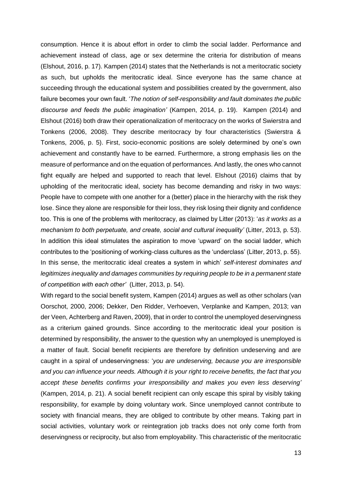consumption. Hence it is about effort in order to climb the social ladder. Performance and achievement instead of class, age or sex determine the criteria for distribution of means (Elshout, 2016, p. 17). Kampen (2014) states that the Netherlands is not a meritocratic society as such, but upholds the meritocratic ideal. Since everyone has the same chance at succeeding through the educational system and possibilities created by the government, also failure becomes your own fault. '*The notion of self-responsibility and fault dominates the public discourse and feeds the public imagination'* (Kampen, 2014, p. 19). Kampen (2014) and Elshout (2016) both draw their operationalization of meritocracy on the works of Swierstra and Tonkens (2006, 2008). They describe meritocracy by four characteristics (Swierstra & Tonkens, 2006, p. 5). First, socio-economic positions are solely determined by one's own achievement and constantly have to be earned. Furthermore, a strong emphasis lies on the measure of performance and on the equation of performances. And lastly, the ones who cannot fight equally are helped and supported to reach that level. Elshout (2016) claims that by upholding of the meritocratic ideal, society has become demanding and risky in two ways: People have to compete with one another for a (better) place in the hierarchy with the risk they lose. Since they alone are responsible for their loss, they risk losing their dignity and confidence too. This is one of the problems with meritocracy, as claimed by Litter (2013): '*as it works as a mechanism to both perpetuate, and create, social and cultural inequality'* (Litter, 2013, p. 53). In addition this ideal stimulates the aspiration to move 'upward' on the social ladder, which contributes to the 'positioning of working-class cultures as the 'underclass' (Litter, 2013, p. 55). In this sense, the meritocratic ideal creates a system in which' *self-interest dominates and legitimizes inequality and damages communities by requiring people to be in a permanent state of competition with each other'* (Litter, 2013, p. 54).

With regard to the social benefit system, Kampen (2014) argues as well as other scholars (van Oorschot, 2000, 2006; Dekker, Den Ridder, Verhoeven, Verplanke and Kampen, 2013; van der Veen, Achterberg and Raven, 2009), that in order to control the unemployed deservingness as a criterium gained grounds. Since according to the meritocratic ideal your position is determined by responsibility, the answer to the question why an unemployed is unemployed is a matter of fault. Social benefit recipients are therefore by definition undeserving and are caught in a spiral of undeservingness: '*you are undeserving, because you are irresponsible and you can influence your needs. Although it is your right to receive benefits, the fact that you accept these benefits confirms your irresponsibility and makes you even less deserving'* (Kampen, 2014, p. 21). A social benefit recipient can only escape this spiral by visibly taking responsibility, for example by doing voluntary work. Since unemployed cannot contribute to society with financial means, they are obliged to contribute by other means. Taking part in social activities, voluntary work or reintegration job tracks does not only come forth from deservingness or reciprocity, but also from employability. This characteristic of the meritocratic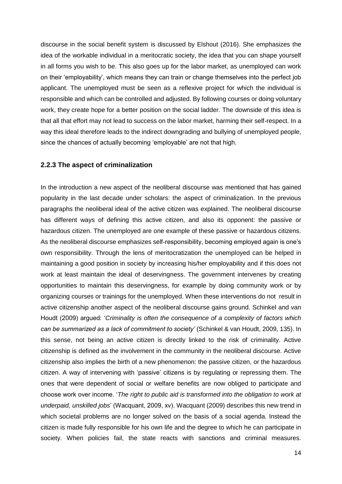discourse in the social benefit system is discussed by Elshout (2016). She emphasizes the idea of the workable individual in a meritocratic society, the idea that you can shape yourself in all forms you wish to be. This also goes up for the labor market, as unemployed can work on their 'employability', which means they can train or change themselves into the perfect job applicant. The unemployed must be seen as a reflexive project for which the individual is responsible and which can be controlled and adjusted. By following courses or doing voluntary work, they create hope for a better position on the social ladder. The downside of this idea is that all that effort may not lead to success on the labor market, harming their self-respect. In a way this ideal therefore leads to the indirect downgrading and bullying of unemployed people, since the chances of actually becoming 'employable' are not that high.

#### **2.2.3 The aspect of criminalization**

In the introduction a new aspect of the neoliberal discourse was mentioned that has gained popularity in the last decade under scholars: the aspect of criminalization. In the previous paragraphs the neoliberal ideal of the active citizen was explained. The neoliberal discourse has different ways of defining this active citizen, and also its opponent: the passive or hazardous citizen. The unemployed are one example of these passive or hazardous citizens. As the neoliberal discourse emphasizes self-responsibility, becoming employed again is one's own responsibility. Through the lens of meritocratization the unemployed can be helped in maintaining a good position in society by increasing his/her employability and if this does not work at least maintain the ideal of deservingness. The government intervenes by creating opportunities to maintain this deservingness, for example by doing community work or by organizing courses or trainings for the unemployed. When these interventions do not result in active citizenship another aspect of the neoliberal discourse gains ground. Schinkel and van Houdt (2009) argued: '*Criminality is often the consequence of a complexity of factors which can be summarized as a lack of commitment to society'* (Schinkel & van Houdt, 2009, 135). In this sense, not being an active citizen is directly linked to the risk of criminality. Active citizenship is defined as the involvement in the community in the neoliberal discourse. Active citizenship also implies the birth of a new phenomenon: the passive citizen, or the hazardous citizen. A way of intervening with 'passive' citizens is by regulating or repressing them. The ones that were dependent of social or welfare benefits are now obliged to participate and choose work over income. '*The right to public aid is transformed into the obligation to work at underpaid, unskilled jobs*' (Wacquant, 2009, xv). Wacquant (2009) describes this new trend in which societal problems are no longer solved on the basis of a social agenda. Instead the citizen is made fully responsible for his own life and the degree to which he can participate in society. When policies fail, the state reacts with sanctions and criminal measures.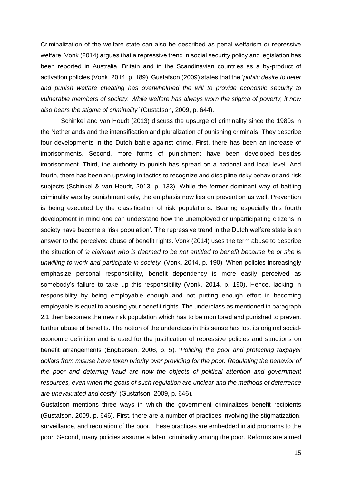Criminalization of the welfare state can also be described as penal welfarism or repressive welfare. Vonk (2014) argues that a repressive trend in social security policy and legislation has been reported in Australia, Britain and in the Scandinavian countries as a by-product of activation policies (Vonk, 2014, p. 189). Gustafson (2009) states that the '*public desire to deter and punish welfare cheating has overwhelmed the will to provide economic security to vulnerable members of society. While welfare has always worn the stigma of poverty, it now also bears the stigma of criminality'* (Gustafson, 2009, p. 644).

Schinkel and van Houdt (2013) discuss the upsurge of criminality since the 1980s in the Netherlands and the intensification and pluralization of punishing criminals. They describe four developments in the Dutch battle against crime. First, there has been an increase of imprisonments. Second, more forms of punishment have been developed besides imprisonment. Third, the authority to punish has spread on a national and local level. And fourth, there has been an upswing in tactics to recognize and discipline risky behavior and risk subjects (Schinkel & van Houdt, 2013, p. 133). While the former dominant way of battling criminality was by punishment only, the emphasis now lies on prevention as well. Prevention is being executed by the classification of risk populations. Bearing especially this fourth development in mind one can understand how the unemployed or unparticipating citizens in society have become a 'risk population'. The repressive trend in the Dutch welfare state is an answer to the perceived abuse of benefit rights. Vonk (2014) uses the term abuse to describe the situation of *'a claimant who is deemed to be not entitled to benefit because he or she is unwilling to work and participate in society*' (Vonk, 2014, p. 190). When policies increasingly emphasize personal responsibility, benefit dependency is more easily perceived as somebody's failure to take up this responsibility (Vonk, 2014, p. 190). Hence, lacking in responsibility by being employable enough and not putting enough effort in becoming employable is equal to abusing your benefit rights. The underclass as mentioned in paragraph 2.1 then becomes the new risk population which has to be monitored and punished to prevent further abuse of benefits. The notion of the underclass in this sense has lost its original socialeconomic definition and is used for the justification of repressive policies and sanctions on benefit arrangements (Engbersen, 2006, p. 5). '*Policing the poor and protecting taxpayer dollars from misuse have taken priority over providing for the poor. Regulating the behavior of the poor and deterring fraud are now the objects of political attention and government resources, even when the goals of such regulation are unclear and the methods of deterrence are unevaluated and costly*' (Gustafson, 2009, p. 646).

Gustafson mentions three ways in which the government criminalizes benefit recipients (Gustafson, 2009, p. 646). First, there are a number of practices involving the stigmatization, surveillance, and regulation of the poor. These practices are embedded in aid programs to the poor. Second, many policies assume a latent criminality among the poor. Reforms are aimed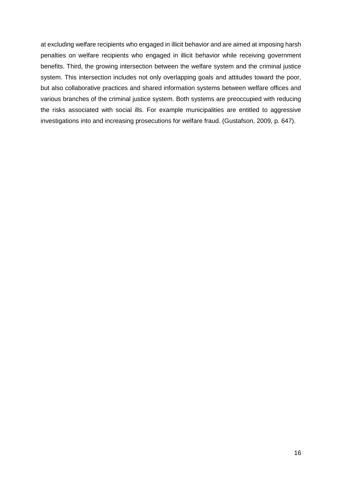at excluding welfare recipients who engaged in illicit behavior and are aimed at imposing harsh penalties on welfare recipients who engaged in illicit behavior while receiving government benefits. Third, the growing intersection between the welfare system and the criminal justice system. This intersection includes not only overlapping goals and attitudes toward the poor, but also collaborative practices and shared information systems between welfare offices and various branches of the criminal justice system. Both systems are preoccupied with reducing the risks associated with social ills. For example municipalities are entitled to aggressive investigations into and increasing prosecutions for welfare fraud. (Gustafson, 2009, p. 647).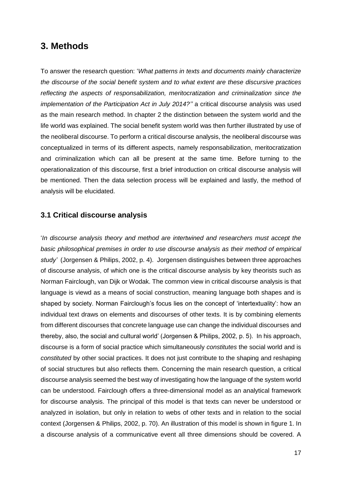# <span id="page-17-0"></span>**3. Methods**

To answer the research question: '*What patterns in texts and documents mainly characterize the discourse of the social benefit system and to what extent are these discursive practices reflecting the aspects of responsabilization, meritocratization and criminalization since the implementation of the Participation Act in July 2014?''* a critical discourse analysis was used as the main research method. In chapter 2 the distinction between the system world and the life world was explained. The social benefit system world was then further illustrated by use of the neoliberal discourse. To perform a critical discourse analysis, the neoliberal discourse was conceptualized in terms of its different aspects, namely responsabilization, meritocratization and criminalization which can all be present at the same time. Before turning to the operationalization of this discourse, first a brief introduction on critical discourse analysis will be mentioned. Then the data selection process will be explained and lastly, the method of analysis will be elucidated.

#### <span id="page-17-1"></span>**3.1 Critical discourse analysis**

'*In discourse analysis theory and method are intertwined and researchers must accept the basic philosophical premises in order to use discourse analysis as their method of empirical study'* (Jorgensen & Philips, 2002, p. 4). Jorgensen distinguishes between three approaches of discourse analysis, of which one is the critical discourse analysis by key theorists such as Norman Fairclough, van Dijk or Wodak. The common view in critical discourse analysis is that language is viewd as a means of social construction, meaning language both shapes and is shaped by society. Norman Fairclough's focus lies on the concept of 'intertextuality': how an individual text draws on elements and discourses of other texts. It is by combining elements from different discourses that concrete language use can change the individual discourses and thereby, also, the social and cultural world' (Jorgensen & Philips, 2002, p. 5). In his approach, discourse is a form of social practice which simultaneously *constitutes* the social world and is *constituted* by other social practices. It does not just contribute to the shaping and reshaping of social structures but also reflects them. Concerning the main research question, a critical discourse analysis seemed the best way of investigating how the language of the system world can be understood. Fairclough offers a three-dimensional model as an analytical framework for discourse analysis. The principal of this model is that texts can never be understood or analyzed in isolation, but only in relation to webs of other texts and in relation to the social context (Jorgensen & Philips, 2002, p. 70). An illustration of this model is shown in figure 1. In a discourse analysis of a communicative event all three dimensions should be covered. A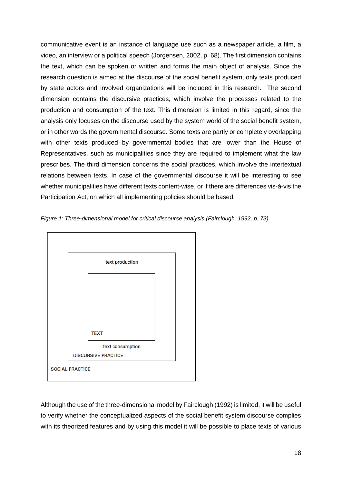communicative event is an instance of language use such as a newspaper article, a film, a video, an interview or a political speech (Jorgensen, 2002, p. 68). The first dimension contains the text, which can be spoken or written and forms the main object of analysis. Since the research question is aimed at the discourse of the social benefit system, only texts produced by state actors and involved organizations will be included in this research. The second dimension contains the discursive practices, which involve the processes related to the production and consumption of the text. This dimension is limited in this regard, since the analysis only focuses on the discourse used by the system world of the social benefit system, or in other words the governmental discourse. Some texts are partly or completely overlapping with other texts produced by governmental bodies that are lower than the House of Representatives, such as municipalities since they are required to implement what the law prescribes. The third dimension concerns the social practices, which involve the intertextual relations between texts. In case of the governmental discourse it will be interesting to see whether municipalities have different texts content-wise, or if there are differences vis-à-vis the Participation Act, on which all implementing policies should be based.





Although the use of the three-dimensional model by Fairclough (1992) is limited, it will be useful to verify whether the conceptualized aspects of the social benefit system discourse complies with its theorized features and by using this model it will be possible to place texts of various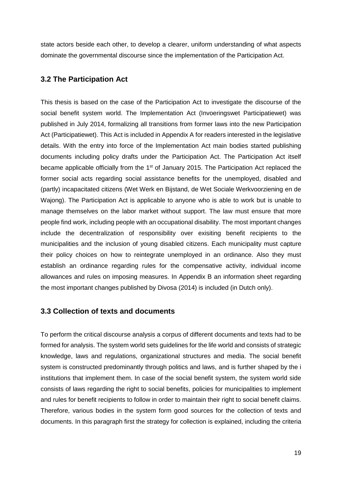state actors beside each other, to develop a clearer, uniform understanding of what aspects dominate the governmental discourse since the implementation of the Participation Act.

# <span id="page-19-0"></span>**3.2 The Participation Act**

This thesis is based on the case of the Participation Act to investigate the discourse of the social benefit system world. The Implementation Act (Invoeringswet Participatiewet) was published in July 2014, formalizing all transitions from former laws into the new Participation Act (Participatiewet). This Act is included in Appendix A for readers interested in the legislative details. With the entry into force of the Implementation Act main bodies started publishing documents including policy drafts under the Participation Act. The Participation Act itself became applicable officially from the  $1<sup>st</sup>$  of January 2015. The Participation Act replaced the former social acts regarding social assistance benefits for the unemployed, disabled and (partly) incapacitated citizens (Wet Werk en Bijstand, de Wet Sociale Werkvoorziening en de Wajong). The Participation Act is applicable to anyone who is able to work but is unable to manage themselves on the labor market without support. The law must ensure that more people find work, including people with an occupational disability. The most important changes include the decentralization of responsibility over exisiting benefit recipients to the municipalities and the inclusion of young disabled citizens. Each municipality must capture their policy choices on how to reintegrate unemployed in an ordinance. Also they must establish an ordinance regarding rules for the compensative activity, individual income allowances and rules on imposing measures. In Appendix B an information sheet regarding the most important changes published by Divosa (2014) is included (in Dutch only).

# <span id="page-19-1"></span>**3.3 Collection of texts and documents**

To perform the critical discourse analysis a corpus of different documents and texts had to be formed for analysis. The system world sets guidelines for the life world and consists of strategic knowledge, laws and regulations, organizational structures and media. The social benefit system is constructed predominantly through politics and laws, and is further shaped by the i institutions that implement them. In case of the social benefit system, the system world side consists of laws regarding the right to social benefits, policies for municipalities to implement and rules for benefit recipients to follow in order to maintain their right to social benefit claims. Therefore, various bodies in the system form good sources for the collection of texts and documents. In this paragraph first the strategy for collection is explained, including the criteria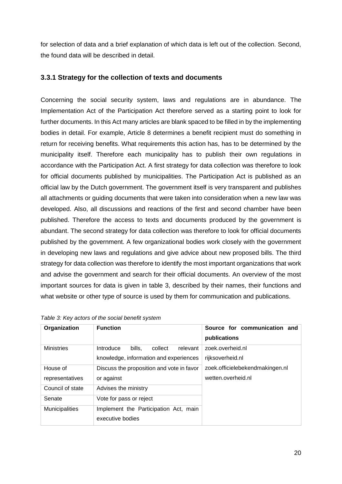for selection of data and a brief explanation of which data is left out of the collection. Second, the found data will be described in detail.

## **3.3.1 Strategy for the collection of texts and documents**

Concerning the social security system, laws and regulations are in abundance. The Implementation Act of the Participation Act therefore served as a starting point to look for further documents. In this Act many articles are blank spaced to be filled in by the implementing bodies in detail. For example, Article 8 determines a benefit recipient must do something in return for receiving benefits. What requirements this action has, has to be determined by the municipality itself. Therefore each municipality has to publish their own regulations in accordance with the Participation Act. A first strategy for data collection was therefore to look for official documents published by municipalities. The Participation Act is published as an official law by the Dutch government. The government itself is very transparent and publishes all attachments or guiding documents that were taken into consideration when a new law was developed. Also, all discussions and reactions of the first and second chamber have been published. Therefore the access to texts and documents produced by the government is abundant. The second strategy for data collection was therefore to look for official documents published by the government. A few organizational bodies work closely with the government in developing new laws and regulations and give advice about new proposed bills. The third strategy for data collection was therefore to identify the most important organizations that work and advise the government and search for their official documents. An overview of the most important sources for data is given in table 3, described by their names, their functions and what website or other type of source is used by them for communication and publications.

| Organization          | <b>Function</b>                            | Source for communication and    |  |
|-----------------------|--------------------------------------------|---------------------------------|--|
|                       |                                            | publications                    |  |
| <b>Ministries</b>     | Introduce<br>bills.<br>collect<br>relevant | zoek.overheid.nl                |  |
|                       | knowledge, information and experiences     | rijksoverheid.nl                |  |
| House of              | Discuss the proposition and vote in favor  | zoek.officielebekendmakingen.nl |  |
| representatives       | or against                                 | wetten.overheid.nl              |  |
| Council of state      | Advises the ministry                       |                                 |  |
| Senate                | Vote for pass or reject                    |                                 |  |
| <b>Municipalities</b> | Implement the Participation Act, main      |                                 |  |
|                       | executive bodies                           |                                 |  |

| Table 3: Key actors of the social benefit system |  |  |
|--------------------------------------------------|--|--|
|                                                  |  |  |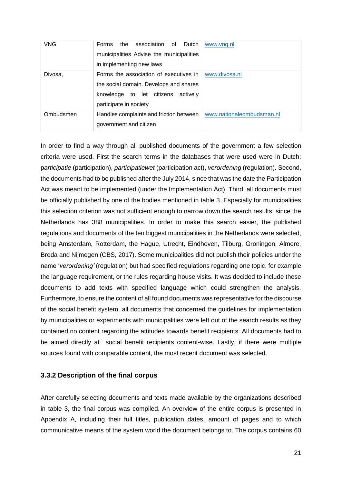| <b>VNG</b> | association of<br>the<br>Dutch<br><b>Forms</b><br>municipalities Advise the municipalities<br>in implementing new laws                              | www.yng.nl                |
|------------|-----------------------------------------------------------------------------------------------------------------------------------------------------|---------------------------|
| Divosa,    | Forms the association of executives in<br>the social domain. Develops and shares<br>knowledge to let citizens<br>activelv<br>participate in society | www.divosa.nl             |
| Ombudsmen  | Handles complaints and friction between<br>government and citizen                                                                                   | www.nationaleombudsman.nl |

In order to find a way through all published documents of the government a few selection criteria were used. First the search terms in the databases that were used were in Dutch: p*articipatie* (participation), *participatiewet* (participation act), *verordening* (regulation). Second, the documents had to be published after the July 2014, since that was the date the Participation Act was meant to be implemented (under the Implementation Act). Third, all documents must be officially published by one of the bodies mentioned in table 3. Especially for municipalities this selection criterion was not sufficient enough to narrow down the search results, since the Netherlands has 388 municipalities. In order to make this search easier, the published regulations and documents of the ten biggest municipalities in the Netherlands were selected, being Amsterdam, Rotterdam, the Hague, Utrecht, Eindhoven, Tilburg, Groningen, Almere, Breda and Nijmegen (CBS, 2017). Some municipalities did not publish their policies under the name '*verordening'* (regulation) but had specified regulations regarding one topic, for example the language requirement, or the rules regarding house visits. It was decided to include these documents to add texts with specified language which could strengthen the analysis. Furthermore, to ensure the content of all found documents was representative for the discourse of the social benefit system, all documents that concerned the guidelines for implementation by municipalities or experiments with municipalities were left out of the search results as they contained no content regarding the attitudes towards benefit recipients. All documents had to be aimed directly at social benefit recipients content-wise. Lastly, if there were multiple sources found with comparable content, the most recent document was selected.

#### **3.3.2 Description of the final corpus**

After carefully selecting documents and texts made available by the organizations described in table 3, the final corpus was compiled. An overview of the entire corpus is presented in Appendix A, including their full titles, publication dates, amount of pages and to which communicative means of the system world the document belongs to. The corpus contains 60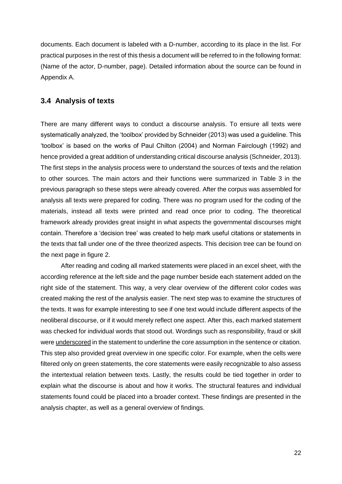documents. Each document is labeled with a D-number, according to its place in the list. For practical purposes in the rest of this thesis a document will be referred to in the following format: (Name of the actor, D-number, page). Detailed information about the source can be found in Appendix A.

## <span id="page-22-0"></span>**3.4 Analysis of texts**

There are many different ways to conduct a discourse analysis. To ensure all texts were systematically analyzed, the 'toolbox' provided by Schneider (2013) was used a guideline. This 'toolbox' is based on the works of Paul Chilton (2004) and Norman Fairclough (1992) and hence provided a great addition of understanding critical discourse analysis (Schneider, 2013). The first steps in the analysis process were to understand the sources of texts and the relation to other sources. The main actors and their functions were summarized in Table 3 in the previous paragraph so these steps were already covered. After the corpus was assembled for analysis all texts were prepared for coding. There was no program used for the coding of the materials, instead all texts were printed and read once prior to coding. The theoretical framework already provides great insight in what aspects the governmental discourses might contain. Therefore a 'decision tree' was created to help mark useful citations or statements in the texts that fall under one of the three theorized aspects. This decision tree can be found on the next page in figure 2.

After reading and coding all marked statements were placed in an excel sheet, with the according reference at the left side and the page number beside each statement added on the right side of the statement. This way, a very clear overview of the different color codes was created making the rest of the analysis easier. The next step was to examine the structures of the texts. It was for example interesting to see if one text would include different aspects of the neoliberal discourse, or if it would merely reflect one aspect. After this, each marked statement was checked for individual words that stood out. Wordings such as responsibility, fraud or skill were underscored in the statement to underline the core assumption in the sentence or citation. This step also provided great overview in one specific color. For example, when the cells were filtered only on green statements, the core statements were easily recognizable to also assess the intertextual relation between texts. Lastly, the results could be tied together in order to explain what the discourse is about and how it works. The structural features and individual statements found could be placed into a broader context. These findings are presented in the analysis chapter, as well as a general overview of findings.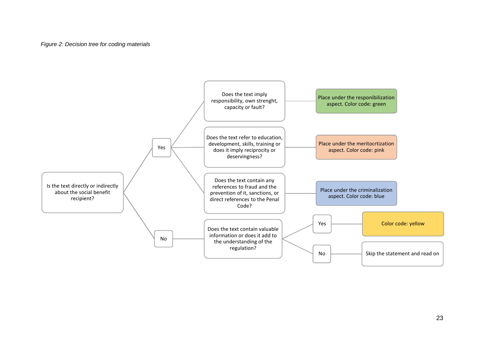#### *Figure 2: Decision tree for coding materials*

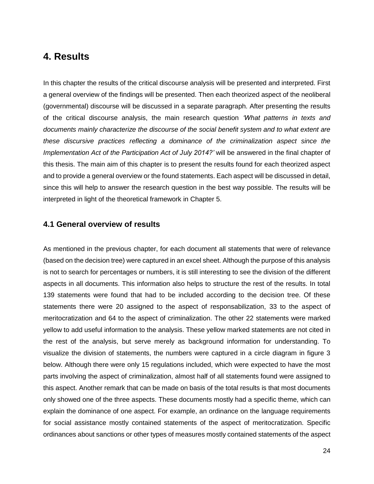# **4. Results**

<span id="page-24-0"></span>In this chapter the results of the critical discourse analysis will be presented and interpreted. First a general overview of the findings will be presented. Then each theorized aspect of the neoliberal (governmental) discourse will be discussed in a separate paragraph. After presenting the results of the critical discourse analysis, the main research question *'What patterns in texts and documents mainly characterize the discourse of the social benefit system and to what extent are these discursive practices reflecting a dominance of the criminalization aspect since the Implementation Act of the Participation Act of July 2014?'* will be answered in the final chapter of this thesis. The main aim of this chapter is to present the results found for each theorized aspect and to provide a general overview or the found statements. Each aspect will be discussed in detail, since this will help to answer the research question in the best way possible. The results will be interpreted in light of the theoretical framework in Chapter 5.

#### **4.1 General overview of results**

<span id="page-24-1"></span>As mentioned in the previous chapter, for each document all statements that were of relevance (based on the decision tree) were captured in an excel sheet. Although the purpose of this analysis is not to search for percentages or numbers, it is still interesting to see the division of the different aspects in all documents. This information also helps to structure the rest of the results. In total 139 statements were found that had to be included according to the decision tree. Of these statements there were 20 assigned to the aspect of responsabilization, 33 to the aspect of meritocratization and 64 to the aspect of criminalization. The other 22 statements were marked yellow to add useful information to the analysis. These yellow marked statements are not cited in the rest of the analysis, but serve merely as background information for understanding. To visualize the division of statements, the numbers were captured in a circle diagram in figure 3 below. Although there were only 15 regulations included, which were expected to have the most parts involving the aspect of criminalization, almost half of all statements found were assigned to this aspect. Another remark that can be made on basis of the total results is that most documents only showed one of the three aspects. These documents mostly had a specific theme, which can explain the dominance of one aspect. For example, an ordinance on the language requirements for social assistance mostly contained statements of the aspect of meritocratization. Specific ordinances about sanctions or other types of measures mostly contained statements of the aspect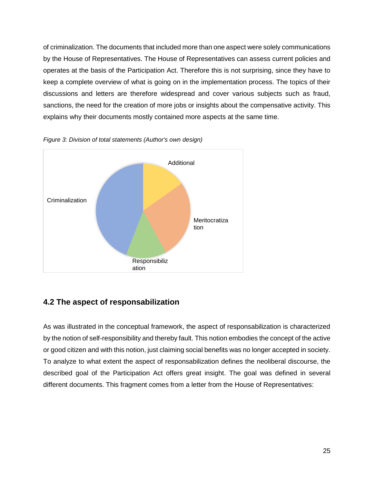of criminalization. The documents that included more than one aspect were solely communications by the House of Representatives. The House of Representatives can assess current policies and operates at the basis of the Participation Act. Therefore this is not surprising, since they have to keep a complete overview of what is going on in the implementation process. The topics of their discussions and letters are therefore widespread and cover various subjects such as fraud, sanctions, the need for the creation of more jobs or insights about the compensative activity. This explains why their documents mostly contained more aspects at the same time.





# **4.2 The aspect of responsabilization**

<span id="page-25-0"></span>As was illustrated in the conceptual framework, the aspect of responsabilization is characterized by the notion of self-responsibility and thereby fault. This notion embodies the concept of the active or good citizen and with this notion, just claiming social benefits was no longer accepted in society. To analyze to what extent the aspect of responsabilization defines the neoliberal discourse, the described goal of the Participation Act offers great insight. The goal was defined in several different documents. This fragment comes from a letter from the House of Representatives: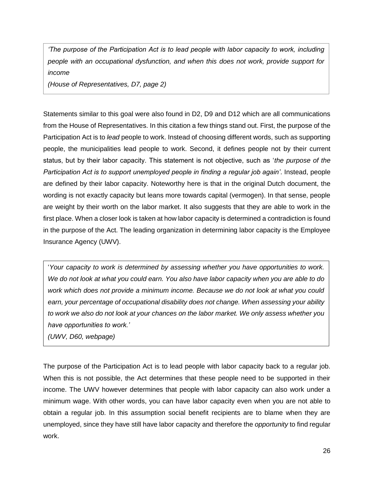*'The purpose of the Participation Act is to lead people with labor capacity to work, including people with an occupational dysfunction, and when this does not work, provide support for income* 

*(House of Representatives, D7, page 2)* 

Statements similar to this goal were also found in D2, D9 and D12 which are all communications from the House of Representatives. In this citation a few things stand out. First, the purpose of the Participation Act is to *lead* people to work. Instead of choosing different words, such as supporting people, the municipalities lead people to work. Second, it defines people not by their current status, but by their labor capacity. This statement is not objective, such as '*the purpose of the Participation Act is to support unemployed people in finding a regular job again'*. Instead, people are defined by their labor capacity. Noteworthy here is that in the original Dutch document, the wording is not exactly capacity but leans more towards capital (vermogen). In that sense, people are weight by their worth on the labor market. It also suggests that they are able to work in the first place. When a closer look is taken at how labor capacity is determined a contradiction is found in the purpose of the Act. The leading organization in determining labor capacity is the Employee Insurance Agency (UWV).

'*Your capacity to work is determined by assessing whether you have opportunities to work. We do not look at what you could earn. You also have labor capacity when you are able to do work which does not provide a minimum income. Because we do not look at what you could earn, your percentage of occupational disability does not change. When assessing your ability to work we also do not look at your chances on the labor market. We only assess whether you have opportunities to work.'*

*(UWV, D60, webpage)*

The purpose of the Participation Act is to lead people with labor capacity back to a regular job. When this is not possible, the Act determines that these people need to be supported in their income. The UWV however determines that people with labor capacity can also work under a minimum wage. With other words, you can have labor capacity even when you are not able to obtain a regular job. In this assumption social benefit recipients are to blame when they are unemployed, since they have still have labor capacity and therefore the *opportunity* to find regular work.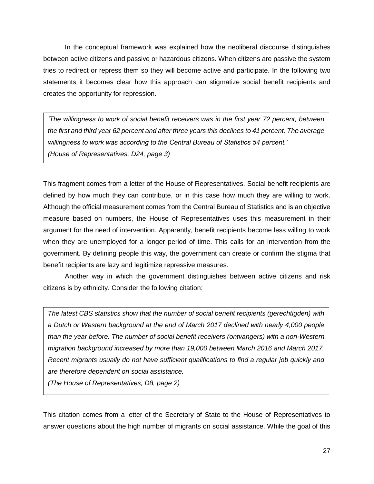In the conceptual framework was explained how the neoliberal discourse distinguishes between active citizens and passive or hazardous citizens. When citizens are passive the system tries to redirect or repress them so they will become active and participate. In the following two statements it becomes clear how this approach can stigmatize social benefit recipients and creates the opportunity for repression.

*'The willingness to work of social benefit receivers was in the first year 72 percent, between the first and third year 62 percent and after three years this declines to 41 percent. The average willingness to work was according to the Central Bureau of Statistics 54 percent.' (House of Representatives, D24, page 3)*

This fragment comes from a letter of the House of Representatives. Social benefit recipients are defined by how much they can contribute, or in this case how much they are willing to work. Although the official measurement comes from the Central Bureau of Statistics and is an objective measure based on numbers, the House of Representatives uses this measurement in their argument for the need of intervention. Apparently, benefit recipients become less willing to work when they are unemployed for a longer period of time. This calls for an intervention from the government. By defining people this way, the government can create or confirm the stigma that benefit recipients are lazy and legitimize repressive measures.

Another way in which the government distinguishes between active citizens and risk citizens is by ethnicity. Consider the following citation:

*The latest CBS statistics show that the number of social benefit recipients (gerechtigden) with a Dutch or Western background at the end of March 2017 declined with nearly 4,000 people than the year before. The number of social benefit receivers (ontvangers) with a non-Western migration background increased by more than 19,000 between March 2016 and March 2017. Recent migrants usually do not have sufficient qualifications to find a regular job quickly and are therefore dependent on social assistance.* 

*(The House of Representatives, D8, page 2)*

This citation comes from a letter of the Secretary of State to the House of Representatives to answer questions about the high number of migrants on social assistance. While the goal of this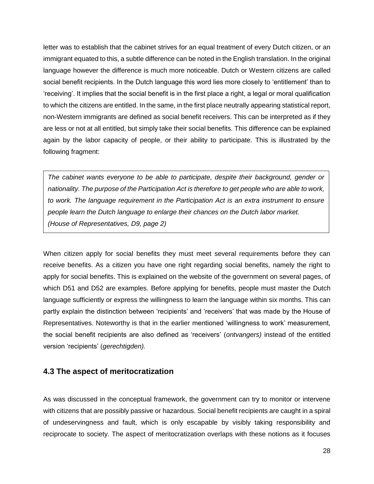letter was to establish that the cabinet strives for an equal treatment of every Dutch citizen, or an immigrant equated to this, a subtle difference can be noted in the English translation. In the original language however the difference is much more noticeable. Dutch or Western citizens are called social benefit recipients. In the Dutch language this word lies more closely to 'entitlement' than to 'receiving'. It implies that the social benefit is in the first place a right, a legal or moral qualification to which the citizens are entitled. In the same, in the first place neutrally appearing statistical report, non-Western immigrants are defined as social benefit receivers. This can be interpreted as if they are less or not at all entitled, but simply take their social benefits. This difference can be explained again by the labor capacity of people, or their ability to participate. This is illustrated by the following fragment:

*The cabinet wants everyone to be able to participate, despite their background, gender or nationality. The purpose of the Participation Act is therefore to get people who are able to work, to work. The language requirement in the Participation Act is an extra instrument to ensure people learn the Dutch language to enlarge their chances on the Dutch labor market. (House of Representatives, D9, page 2)*

When citizen apply for social benefits they must meet several requirements before they can receive benefits. As a citizen you have one right regarding social benefits, namely the right to apply for social benefits. This is explained on the website of the government on several pages, of which D51 and D52 are examples. Before applying for benefits, people must master the Dutch language sufficiently or express the willingness to learn the language within six months. This can partly explain the distinction between 'recipients' and 'receivers' that was made by the House of Representatives. Noteworthy is that in the earlier mentioned 'willingness to work' measurement, the social benefit recipients are also defined as 'receivers' (*ontvangers)* instead of the entitled version 'recipients' (*gerechtigden).*

## **4.3 The aspect of meritocratization**

<span id="page-28-0"></span>As was discussed in the conceptual framework, the government can try to monitor or intervene with citizens that are possibly passive or hazardous. Social benefit recipients are caught in a spiral of undeservingness and fault, which is only escapable by visibly taking responsibility and reciprocate to society. The aspect of meritocratization overlaps with these notions as it focuses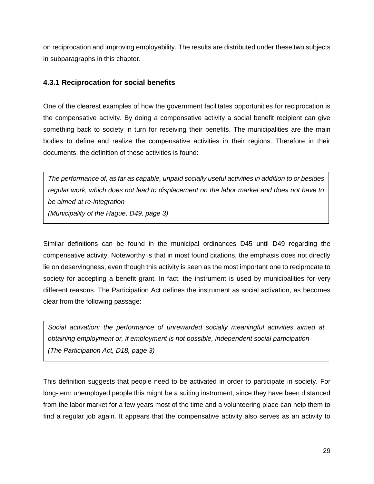on reciprocation and improving employability. The results are distributed under these two subjects in subparagraphs in this chapter.

# **4.3.1 Reciprocation for social benefits**

One of the clearest examples of how the government facilitates opportunities for reciprocation is the compensative activity. By doing a compensative activity a social benefit recipient can give something back to society in turn for receiving their benefits. The municipalities are the main bodies to define and realize the compensative activities in their regions. Therefore in their documents, the definition of these activities is found:

*The performance of, as far as capable, unpaid socially useful activities in addition to or besides regular work, which does not lead to displacement on the labor market and does not have to be aimed at re-integration (Municipality of the Hague, D49, page 3)*

Similar definitions can be found in the municipal ordinances D45 until D49 regarding the compensative activity. Noteworthy is that in most found citations, the emphasis does not directly lie on deservingness, even though this activity is seen as the most important one to reciprocate to society for accepting a benefit grant. In fact, the instrument is used by municipalities for very different reasons. The Participation Act defines the instrument as social activation, as becomes clear from the following passage:

*Social activation: the performance of unrewarded socially meaningful activities aimed at obtaining employment or, if employment is not possible, independent social participation (The Participation Act, D18, page 3)*

This definition suggests that people need to be activated in order to participate in society. For long-term unemployed people this might be a suiting instrument, since they have been distanced from the labor market for a few years most of the time and a volunteering place can help them to find a regular job again. It appears that the compensative activity also serves as an activity to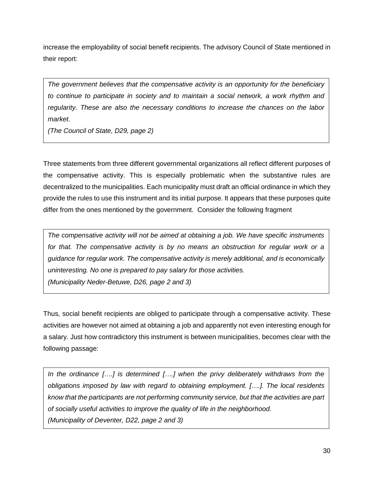increase the employability of social benefit recipients. The advisory Council of State mentioned in their report:

*The government believes that the compensative activity is an opportunity for the beneficiary to continue to participate in society and to maintain a social network, a work rhythm and regularity. These are also the necessary conditions to increase the chances on the labor market.* 

*(The Council of State, D29, page 2)* 

Three statements from three different governmental organizations all reflect different purposes of the compensative activity. This is especially problematic when the substantive rules are decentralized to the municipalities. Each municipality must draft an official ordinance in which they provide the rules to use this instrument and its initial purpose. It appears that these purposes quite differ from the ones mentioned by the government. Consider the following fragment

*The compensative activity will not be aimed at obtaining a job. We have specific instruments for that. The compensative activity is by no means an obstruction for regular work or a guidance for regular work. The compensative activity is merely additional, and is economically uninteresting. No one is prepared to pay salary for those activities. (Municipality Neder-Betuwe, D26, page 2 and 3)*

Thus, social benefit recipients are obliged to participate through a compensative activity. These activities are however not aimed at obtaining a job and apparently not even interesting enough for a salary. Just how contradictory this instrument is between municipalities, becomes clear with the following passage:

*In the ordinance [….] is determined [….] when the privy deliberately withdraws from the obligations imposed by law with regard to obtaining employment. [….]. The local residents know that the participants are not performing community service, but that the activities are part of socially useful activities to improve the quality of life in the neighborhood. (Municipality of Deventer, D22, page 2 and 3)*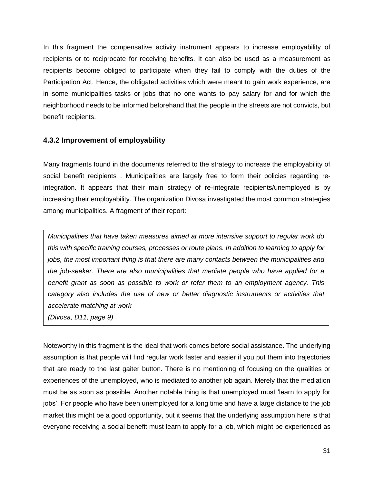In this fragment the compensative activity instrument appears to increase employability of recipients or to reciprocate for receiving benefits. It can also be used as a measurement as recipients become obliged to participate when they fail to comply with the duties of the Participation Act. Hence, the obligated activities which were meant to gain work experience, are in some municipalities tasks or jobs that no one wants to pay salary for and for which the neighborhood needs to be informed beforehand that the people in the streets are not convicts, but benefit recipients.

## **4.3.2 Improvement of employability**

Many fragments found in the documents referred to the strategy to increase the employability of social benefit recipients . Municipalities are largely free to form their policies regarding reintegration. It appears that their main strategy of re-integrate recipients/unemployed is by increasing their employability. The organization Divosa investigated the most common strategies among municipalities. A fragment of their report:

*Municipalities that have taken measures aimed at more intensive support to regular work do this with specific training courses, processes or route plans. In addition to learning to apply for jobs, the most important thing is that there are many contacts between the municipalities and the job-seeker. There are also municipalities that mediate people who have applied for a benefit grant as soon as possible to work or refer them to an employment agency. This category also includes the use of new or better diagnostic instruments or activities that accelerate matching at work*

*(Divosa, D11, page 9)*

Noteworthy in this fragment is the ideal that work comes before social assistance. The underlying assumption is that people will find regular work faster and easier if you put them into trajectories that are ready to the last gaiter button. There is no mentioning of focusing on the qualities or experiences of the unemployed, who is mediated to another job again. Merely that the mediation must be as soon as possible. Another notable thing is that unemployed must 'learn to apply for jobs'. For people who have been unemployed for a long time and have a large distance to the job market this might be a good opportunity, but it seems that the underlying assumption here is that everyone receiving a social benefit must learn to apply for a job, which might be experienced as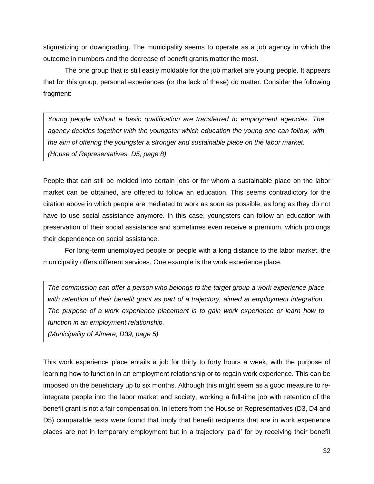stigmatizing or downgrading. The municipality seems to operate as a job agency in which the outcome in numbers and the decrease of benefit grants matter the most.

The one group that is still easily moldable for the job market are young people. It appears that for this group, personal experiences (or the lack of these) do matter. Consider the following fragment:

*Young people without a basic qualification are transferred to employment agencies. The agency decides together with the youngster which education the young one can follow, with the aim of offering the youngster a stronger and sustainable place on the labor market. (House of Representatives, D5, page 8)*

People that can still be molded into certain jobs or for whom a sustainable place on the labor market can be obtained, are offered to follow an education. This seems contradictory for the citation above in which people are mediated to work as soon as possible, as long as they do not have to use social assistance anymore. In this case, youngsters can follow an education with preservation of their social assistance and sometimes even receive a premium, which prolongs their dependence on social assistance.

For long-term unemployed people or people with a long distance to the labor market, the municipality offers different services. One example is the work experience place.

*The commission can offer a person who belongs to the target group a work experience place with retention of their benefit grant as part of a trajectory, aimed at employment integration. The purpose of a work experience placement is to gain work experience or learn how to function in an employment relationship.* 

*(Municipality of Almere, D39, page 5)*

This work experience place entails a job for thirty to forty hours a week, with the purpose of learning how to function in an employment relationship or to regain work experience. This can be imposed on the beneficiary up to six months. Although this might seem as a good measure to reintegrate people into the labor market and society, working a full-time job with retention of the benefit grant is not a fair compensation. In letters from the House or Representatives (D3, D4 and D5) comparable texts were found that imply that benefit recipients that are in work experience places are not in temporary employment but in a trajectory 'paid' for by receiving their benefit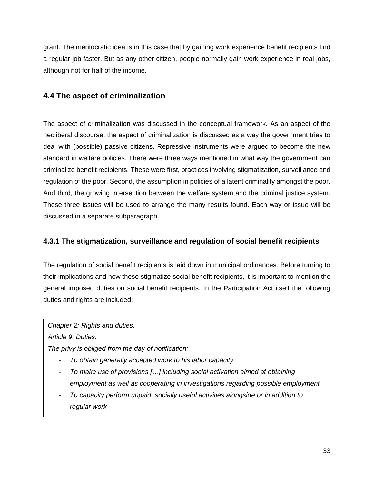grant. The meritocratic idea is in this case that by gaining work experience benefit recipients find a regular job faster. But as any other citizen, people normally gain work experience in real jobs, although not for half of the income.

# **4.4 The aspect of criminalization**

<span id="page-33-0"></span>The aspect of criminalization was discussed in the conceptual framework. As an aspect of the neoliberal discourse, the aspect of criminalization is discussed as a way the government tries to deal with (possible) passive citizens. Repressive instruments were argued to become the new standard in welfare policies. There were three ways mentioned in what way the government can criminalize benefit recipients. These were first, practices involving stigmatization, surveillance and regulation of the poor. Second, the assumption in policies of a latent criminality amongst the poor. And third, the growing intersection between the welfare system and the criminal justice system. These three issues will be used to arrange the many results found. Each way or issue will be discussed in a separate subparagraph.

# **4.3.1 The stigmatization, surveillance and regulation of social benefit recipients**

The regulation of social benefit recipients is laid down in municipal ordinances. Before turning to their implications and how these stigmatize social benefit recipients, it is important to mention the general imposed duties on social benefit recipients. In the Participation Act itself the following duties and rights are included:

*Chapter 2: Rights and duties.* 

*Article 9: Duties.* 

*The privy is obliged from the day of notification:*

- *To obtain generally accepted work to his labor capacity*
- *To make use of provisions […] including social activation aimed at obtaining employment as well as cooperating in investigations regarding possible employment*
- *To capacity perform unpaid, socially useful activities alongside or in addition to regular work*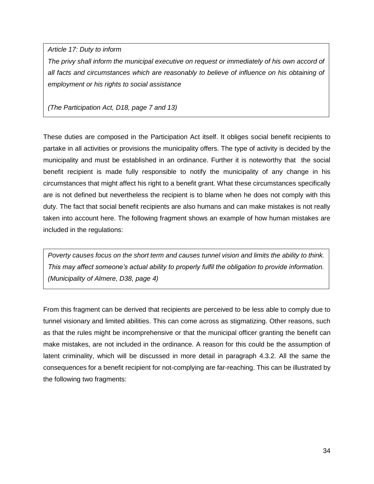*Article 17: Duty to inform*

*The privy shall inform the municipal executive on request or immediately of his own accord of all facts and circumstances which are reasonably to believe of influence on his obtaining of employment or his rights to social assistance*

*(The Participation Act, D18, page 7 and 13)*

These duties are composed in the Participation Act itself. It obliges social benefit recipients to partake in all activities or provisions the municipality offers. The type of activity is decided by the municipality and must be established in an ordinance. Further it is noteworthy that the social benefit recipient is made fully responsible to notify the municipality of any change in his circumstances that might affect his right to a benefit grant. What these circumstances specifically are is not defined but nevertheless the recipient is to blame when he does not comply with this duty. The fact that social benefit recipients are also humans and can make mistakes is not really taken into account here. The following fragment shows an example of how human mistakes are included in the regulations:

*Poverty causes focus on the short term and causes tunnel vision and limits the ability to think. This may affect someone's actual ability to properly fulfil the obligation to provide information. (Municipality of Almere, D38, page 4)* 

From this fragment can be derived that recipients are perceived to be less able to comply due to tunnel visionary and limited abilities. This can come across as stigmatizing. Other reasons, such as that the rules might be incomprehensive or that the municipal officer granting the benefit can make mistakes, are not included in the ordinance. A reason for this could be the assumption of latent criminality, which will be discussed in more detail in paragraph 4.3.2. All the same the consequences for a benefit recipient for not-complying are far-reaching. This can be illustrated by the following two fragments: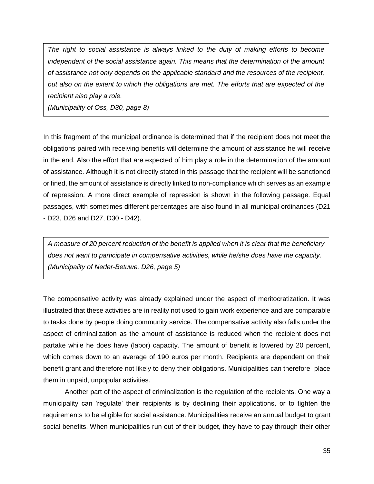*The right to social assistance is always linked to the duty of making efforts to become independent of the social assistance again. This means that the determination of the amount of assistance not only depends on the applicable standard and the resources of the recipient, but also on the extent to which the obligations are met. The efforts that are expected of the recipient also play a role.* 

*(Municipality of Oss, D30, page 8)* 

In this fragment of the municipal ordinance is determined that if the recipient does not meet the obligations paired with receiving benefits will determine the amount of assistance he will receive in the end. Also the effort that are expected of him play a role in the determination of the amount of assistance. Although it is not directly stated in this passage that the recipient will be sanctioned or fined, the amount of assistance is directly linked to non-compliance which serves as an example of repression. A more direct example of repression is shown in the following passage. Equal passages, with sometimes different percentages are also found in all municipal ordinances (D21 - D23, D26 and D27, D30 - D42).

*A measure of 20 percent reduction of the benefit is applied when it is clear that the beneficiary does not want to participate in compensative activities, while he/she does have the capacity. (Municipality of Neder-Betuwe, D26, page 5)*

The compensative activity was already explained under the aspect of meritocratization. It was illustrated that these activities are in reality not used to gain work experience and are comparable to tasks done by people doing community service. The compensative activity also falls under the aspect of criminalization as the amount of assistance is reduced when the recipient does not partake while he does have (labor) capacity. The amount of benefit is lowered by 20 percent, which comes down to an average of 190 euros per month. Recipients are dependent on their benefit grant and therefore not likely to deny their obligations. Municipalities can therefore place them in unpaid, unpopular activities.

Another part of the aspect of criminalization is the regulation of the recipients. One way a municipality can 'regulate' their recipients is by declining their applications, or to tighten the requirements to be eligible for social assistance. Municipalities receive an annual budget to grant social benefits. When municipalities run out of their budget, they have to pay through their other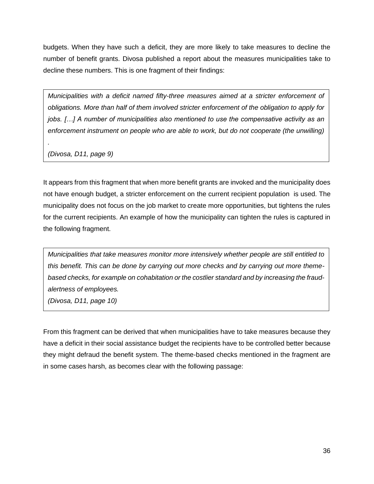budgets. When they have such a deficit, they are more likely to take measures to decline the number of benefit grants. Divosa published a report about the measures municipalities take to decline these numbers. This is one fragment of their findings:

*Municipalities with a deficit named fifty-three measures aimed at a stricter enforcement of obligations. More than half of them involved stricter enforcement of the obligation to apply for jobs. […] A number of municipalities also mentioned to use the compensative activity as an enforcement instrument on people who are able to work, but do not cooperate (the unwilling)* 

*(Divosa, D11, page 9)*

*.*

It appears from this fragment that when more benefit grants are invoked and the municipality does not have enough budget, a stricter enforcement on the current recipient population is used. The municipality does not focus on the job market to create more opportunities, but tightens the rules for the current recipients. An example of how the municipality can tighten the rules is captured in the following fragment.

*Municipalities that take measures monitor more intensively whether people are still entitled to this benefit. This can be done by carrying out more checks and by carrying out more themebased checks, for example on cohabitation or the costlier standard and by increasing the fraudalertness of employees.* 

*(Divosa, D11, page 10)* 

From this fragment can be derived that when municipalities have to take measures because they have a deficit in their social assistance budget the recipients have to be controlled better because they might defraud the benefit system. The theme-based checks mentioned in the fragment are in some cases harsh, as becomes clear with the following passage: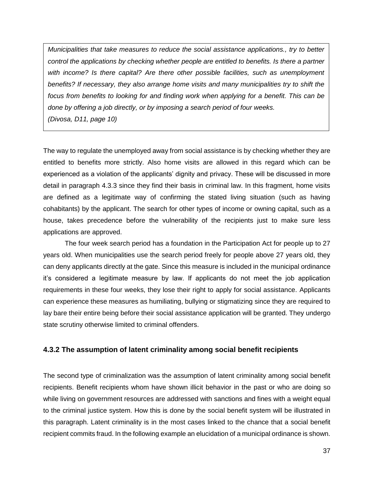*Municipalities that take measures to reduce the social assistance applications., try to better control the applications by checking whether people are entitled to benefits. Is there a partner with income? Is there capital? Are there other possible facilities, such as unemployment benefits? If necessary, they also arrange home visits and many municipalities try to shift the focus from benefits to looking for and finding work when applying for a benefit. This can be done by offering a job directly, or by imposing a search period of four weeks. (Divosa, D11, page 10)*

The way to regulate the unemployed away from social assistance is by checking whether they are entitled to benefits more strictly. Also home visits are allowed in this regard which can be experienced as a violation of the applicants' dignity and privacy. These will be discussed in more detail in paragraph 4.3.3 since they find their basis in criminal law. In this fragment, home visits are defined as a legitimate way of confirming the stated living situation (such as having cohabitants) by the applicant. The search for other types of income or owning capital, such as a house, takes precedence before the vulnerability of the recipients just to make sure less applications are approved.

The four week search period has a foundation in the Participation Act for people up to 27 years old. When municipalities use the search period freely for people above 27 years old, they can deny applicants directly at the gate. Since this measure is included in the municipal ordinance it's considered a legitimate measure by law. If applicants do not meet the job application requirements in these four weeks, they lose their right to apply for social assistance. Applicants can experience these measures as humiliating, bullying or stigmatizing since they are required to lay bare their entire being before their social assistance application will be granted. They undergo state scrutiny otherwise limited to criminal offenders.

#### **4.3.2 The assumption of latent criminality among social benefit recipients**

The second type of criminalization was the assumption of latent criminality among social benefit recipients. Benefit recipients whom have shown illicit behavior in the past or who are doing so while living on government resources are addressed with sanctions and fines with a weight equal to the criminal justice system. How this is done by the social benefit system will be illustrated in this paragraph. Latent criminality is in the most cases linked to the chance that a social benefit recipient commits fraud. In the following example an elucidation of a municipal ordinance is shown.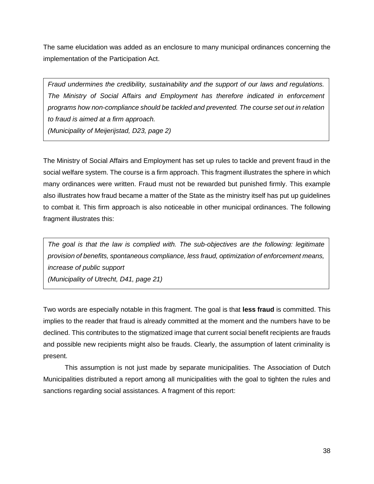The same elucidation was added as an enclosure to many municipal ordinances concerning the implementation of the Participation Act.

*Fraud undermines the credibility, sustainability and the support of our laws and regulations. The Ministry of Social Affairs and Employment has therefore indicated in enforcement programs how non-compliance should be tackled and prevented. The course set out in relation to fraud is aimed at a firm approach.* 

*(Municipality of Meijerijstad, D23, page 2)*

The Ministry of Social Affairs and Employment has set up rules to tackle and prevent fraud in the social welfare system. The course is a firm approach. This fragment illustrates the sphere in which many ordinances were written. Fraud must not be rewarded but punished firmly. This example also illustrates how fraud became a matter of the State as the ministry itself has put up guidelines to combat it. This firm approach is also noticeable in other municipal ordinances. The following fragment illustrates this:

*The goal is that the law is complied with. The sub-objectives are the following: legitimate provision of benefits, spontaneous compliance, less fraud, optimization of enforcement means, increase of public support (Municipality of Utrecht, D41, page 21)*

Two words are especially notable in this fragment. The goal is that **less fraud** is committed. This implies to the reader that fraud is already committed at the moment and the numbers have to be declined. This contributes to the stigmatized image that current social benefit recipients are frauds and possible new recipients might also be frauds. Clearly, the assumption of latent criminality is present.

This assumption is not just made by separate municipalities. The Association of Dutch Municipalities distributed a report among all municipalities with the goal to tighten the rules and sanctions regarding social assistances. A fragment of this report: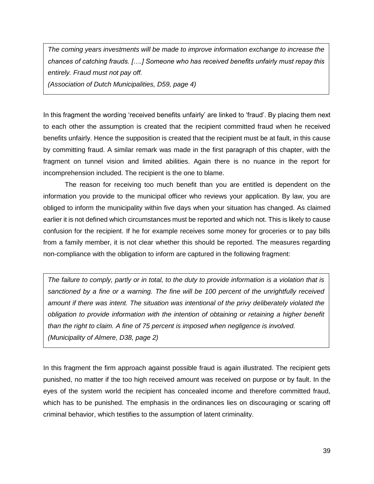*The coming years investments will be made to improve information exchange to increase the chances of catching frauds. [….] Someone who has received benefits unfairly must repay this entirely. Fraud must not pay off.* 

*(Association of Dutch Municipalities, D59, page 4)* 

In this fragment the wording 'received benefits unfairly' are linked to 'fraud'. By placing them next to each other the assumption is created that the recipient committed fraud when he received benefits unfairly. Hence the supposition is created that the recipient must be at fault, in this cause by committing fraud. A similar remark was made in the first paragraph of this chapter, with the fragment on tunnel vision and limited abilities. Again there is no nuance in the report for incomprehension included. The recipient is the one to blame.

The reason for receiving too much benefit than you are entitled is dependent on the information you provide to the municipal officer who reviews your application. By law, you are obliged to inform the municipality within five days when your situation has changed. As claimed earlier it is not defined which circumstances must be reported and which not. This is likely to cause confusion for the recipient. If he for example receives some money for groceries or to pay bills from a family member, it is not clear whether this should be reported. The measures regarding non-compliance with the obligation to inform are captured in the following fragment:

*The failure to comply, partly or in total, to the duty to provide information is a violation that is sanctioned by a fine or a warning. The fine will be 100 percent of the unrightfully received amount if there was intent. The situation was intentional of the privy deliberately violated the obligation to provide information with the intention of obtaining or retaining a higher benefit than the right to claim. A fine of 75 percent is imposed when negligence is involved. (Municipality of Almere, D38, page 2)*

In this fragment the firm approach against possible fraud is again illustrated. The recipient gets punished, no matter if the too high received amount was received on purpose or by fault. In the eyes of the system world the recipient has concealed income and therefore committed fraud, which has to be punished. The emphasis in the ordinances lies on discouraging or scaring off criminal behavior, which testifies to the assumption of latent criminality.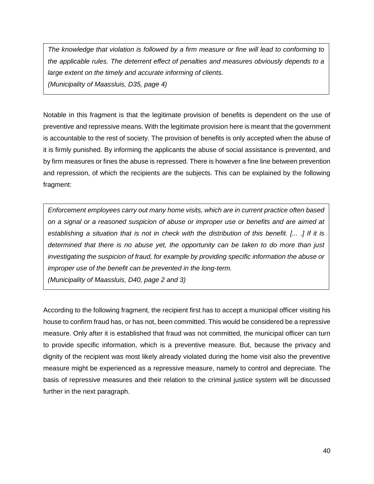*The knowledge that violation is followed by a firm measure or fine will lead to conforming to the applicable rules. The deterrent effect of penalties and measures obviously depends to a large extent on the timely and accurate informing of clients. (Municipality of Maassluis, D35, page 4)* 

Notable in this fragment is that the legitimate provision of benefits is dependent on the use of preventive and repressive means. With the legitimate provision here is meant that the government is accountable to the rest of society. The provision of benefits is only accepted when the abuse of it is firmly punished. By informing the applicants the abuse of social assistance is prevented, and by firm measures or fines the abuse is repressed. There is however a fine line between prevention and repression, of which the recipients are the subjects. This can be explained by the following fragment:

*Enforcement employees carry out many home visits, which are in current practice often based on a signal or a reasoned suspicion of abuse or improper use or benefits and are aimed at establishing a situation that is not in check with the distribution of this benefit. [... .] If it is determined that there is no abuse yet, the opportunity can be taken to do more than just investigating the suspicion of fraud, for example by providing specific information the abuse or improper use of the benefit can be prevented in the long-term. (Municipality of Maassluis, D40, page 2 and 3)*

According to the following fragment, the recipient first has to accept a municipal officer visiting his house to confirm fraud has, or has not, been committed. This would be considered be a repressive measure. Only after it is established that fraud was not committed, the municipal officer can turn to provide specific information, which is a preventive measure. But, because the privacy and dignity of the recipient was most likely already violated during the home visit also the preventive measure might be experienced as a repressive measure, namely to control and depreciate. The basis of repressive measures and their relation to the criminal justice system will be discussed further in the next paragraph.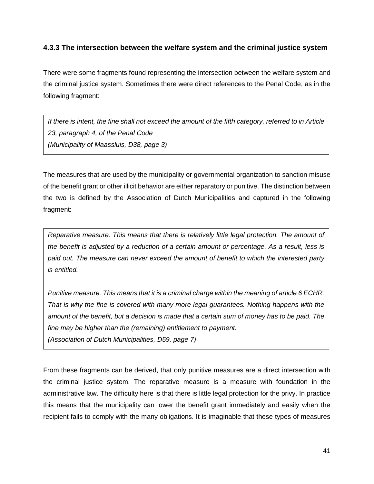### **4.3.3 The intersection between the welfare system and the criminal justice system**

There were some fragments found representing the intersection between the welfare system and the criminal justice system. Sometimes there were direct references to the Penal Code, as in the following fragment:

*If there is intent, the fine shall not exceed the amount of the fifth category, referred to in Article 23, paragraph 4, of the Penal Code (Municipality of Maassluis, D38, page 3)*

The measures that are used by the municipality or governmental organization to sanction misuse of the benefit grant or other illicit behavior are either reparatory or punitive. The distinction between the two is defined by the Association of Dutch Municipalities and captured in the following fragment:

*Reparative measure. This means that there is relatively little legal protection. The amount of the benefit is adjusted by a reduction of a certain amount or percentage. As a result, less is paid out. The measure can never exceed the amount of benefit to which the interested party is entitled.*

*Punitive measure. This means that it is a criminal charge within the meaning of article 6 ECHR. That is why the fine is covered with many more legal guarantees. Nothing happens with the amount of the benefit, but a decision is made that a certain sum of money has to be paid. The fine may be higher than the (remaining) entitlement to payment.*

*(Association of Dutch Municipalities, D59, page 7)*

From these fragments can be derived, that only punitive measures are a direct intersection with the criminal justice system. The reparative measure is a measure with foundation in the administrative law. The difficulty here is that there is little legal protection for the privy. In practice this means that the municipality can lower the benefit grant immediately and easily when the recipient fails to comply with the many obligations. It is imaginable that these types of measures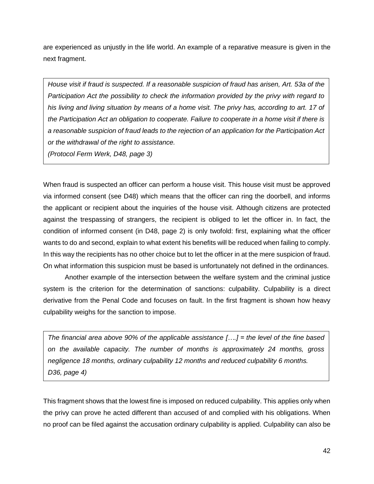are experienced as unjustly in the life world. An example of a reparative measure is given in the next fragment.

*House visit if fraud is suspected. If a reasonable suspicion of fraud has arisen, Art. 53a of the Participation Act the possibility to check the information provided by the privy with regard to his living and living situation by means of a home visit. The privy has, according to art. 17 of the Participation Act an obligation to cooperate. Failure to cooperate in a home visit if there is a reasonable suspicion of fraud leads to the rejection of an application for the Participation Act or the withdrawal of the right to assistance. (Protocol Ferm Werk, D48, page 3)*

When fraud is suspected an officer can perform a house visit. This house visit must be approved via informed consent (see D48) which means that the officer can ring the doorbell, and informs the applicant or recipient about the inquiries of the house visit. Although citizens are protected against the trespassing of strangers, the recipient is obliged to let the officer in. In fact, the condition of informed consent (in D48, page 2) is only twofold: first, explaining what the officer wants to do and second, explain to what extent his benefits will be reduced when failing to comply. In this way the recipients has no other choice but to let the officer in at the mere suspicion of fraud. On what information this suspicion must be based is unfortunately not defined in the ordinances.

Another example of the intersection between the welfare system and the criminal justice system is the criterion for the determination of sanctions: culpability. Culpability is a direct derivative from the Penal Code and focuses on fault. In the first fragment is shown how heavy culpability weighs for the sanction to impose.

*The financial area above 90% of the applicable assistance [….] = the level of the fine based on the available capacity. The number of months is approximately 24 months, gross negligence 18 months, ordinary culpability 12 months and reduced culpability 6 months. D36, page 4)* 

This fragment shows that the lowest fine is imposed on reduced culpability. This applies only when the privy can prove he acted different than accused of and complied with his obligations. When no proof can be filed against the accusation ordinary culpability is applied. Culpability can also be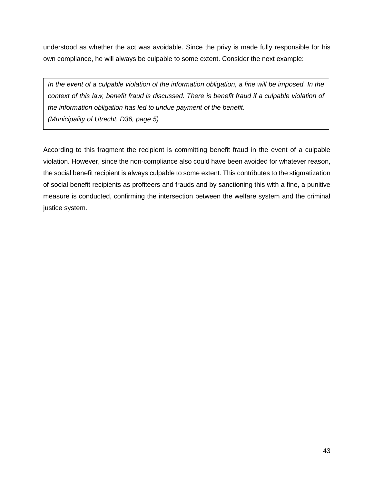understood as whether the act was avoidable. Since the privy is made fully responsible for his own compliance, he will always be culpable to some extent. Consider the next example:

In the event of a culpable violation of the information obligation, a fine will be imposed. In the *context of this law, benefit fraud is discussed. There is benefit fraud if a culpable violation of the information obligation has led to undue payment of the benefit. (Municipality of Utrecht, D36, page 5)*

According to this fragment the recipient is committing benefit fraud in the event of a culpable violation. However, since the non-compliance also could have been avoided for whatever reason, the social benefit recipient is always culpable to some extent. This contributes to the stigmatization of social benefit recipients as profiteers and frauds and by sanctioning this with a fine, a punitive measure is conducted, confirming the intersection between the welfare system and the criminal justice system.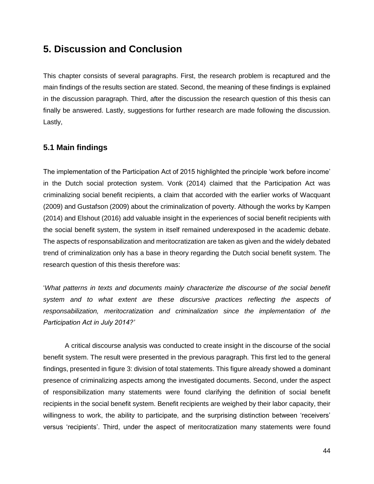# **5. Discussion and Conclusion**

This chapter consists of several paragraphs. First, the research problem is recaptured and the main findings of the results section are stated. Second, the meaning of these findings is explained in the discussion paragraph. Third, after the discussion the research question of this thesis can finally be answered. Lastly, suggestions for further research are made following the discussion. Lastly,

## **5.1 Main findings**

The implementation of the Participation Act of 2015 highlighted the principle 'work before income' in the Dutch social protection system. Vonk (2014) claimed that the Participation Act was criminalizing social benefit recipients, a claim that accorded with the earlier works of Wacquant (2009) and Gustafson (2009) about the criminalization of poverty. Although the works by Kampen (2014) and Elshout (2016) add valuable insight in the experiences of social benefit recipients with the social benefit system, the system in itself remained underexposed in the academic debate. The aspects of responsabilization and meritocratization are taken as given and the widely debated trend of criminalization only has a base in theory regarding the Dutch social benefit system. The research question of this thesis therefore was:

'*What patterns in texts and documents mainly characterize the discourse of the social benefit*  system and to what extent are these discursive practices reflecting the aspects of *responsabilization, meritocratization and criminalization since the implementation of the Participation Act in July 2014?'*

A critical discourse analysis was conducted to create insight in the discourse of the social benefit system. The result were presented in the previous paragraph. This first led to the general findings, presented in figure 3: division of total statements. This figure already showed a dominant presence of criminalizing aspects among the investigated documents. Second, under the aspect of responsibilization many statements were found clarifying the definition of social benefit recipients in the social benefit system. Benefit recipients are weighed by their labor capacity, their willingness to work, the ability to participate, and the surprising distinction between 'receivers' versus 'recipients'. Third, under the aspect of meritocratization many statements were found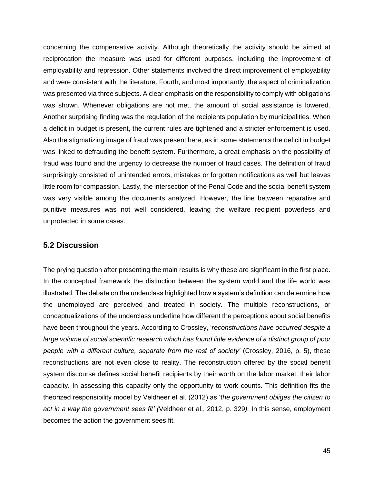concerning the compensative activity. Although theoretically the activity should be aimed at reciprocation the measure was used for different purposes, including the improvement of employability and repression. Other statements involved the direct improvement of employability and were consistent with the literature. Fourth, and most importantly, the aspect of criminalization was presented via three subjects. A clear emphasis on the responsibility to comply with obligations was shown. Whenever obligations are not met, the amount of social assistance is lowered. Another surprising finding was the regulation of the recipients population by municipalities. When a deficit in budget is present, the current rules are tightened and a stricter enforcement is used. Also the stigmatizing image of fraud was present here, as in some statements the deficit in budget was linked to defrauding the benefit system. Furthermore, a great emphasis on the possibility of fraud was found and the urgency to decrease the number of fraud cases. The definition of fraud surprisingly consisted of unintended errors, mistakes or forgotten notifications as well but leaves little room for compassion. Lastly, the intersection of the Penal Code and the social benefit system was very visible among the documents analyzed. However, the line between reparative and punitive measures was not well considered, leaving the welfare recipient powerless and unprotected in some cases.

### **5.2 Discussion**

The prying question after presenting the main results is why these are significant in the first place. In the conceptual framework the distinction between the system world and the life world was illustrated. The debate on the underclass highlighted how a system's definition can determine how the unemployed are perceived and treated in society. The multiple reconstructions, or conceptualizations of the underclass underline how different the perceptions about social benefits have been throughout the years. According to Crossley, '*reconstructions have occurred despite a large volume of social scientific research which has found little evidence of a distinct group of poor people with a different culture, separate from the rest of society'* (Crossley, 2016, p. 5), these reconstructions are not even close to reality. The reconstruction offered by the social benefit system discourse defines social benefit recipients by their worth on the labor market: their labor capacity. In assessing this capacity only the opportunity to work counts. This definition fits the theorized responsibility model by Veldheer et al. (2012) as 't*he government obliges the citizen to act in a way the government sees fit' (*Veldheer et al., 2012, p. 329*).* In this sense, employment becomes the action the government sees fit.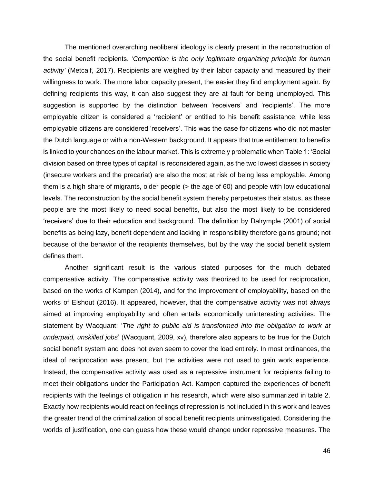The mentioned overarching neoliberal ideology is clearly present in the reconstruction of the social benefit recipients. '*Competition is the only legitimate organizing principle for human activity'* (Metcalf, 2017). Recipients are weighed by their labor capacity and measured by their willingness to work. The more labor capacity present, the easier they find employment again. By defining recipients this way, it can also suggest they are at fault for being unemployed. This suggestion is supported by the distinction between 'receivers' and 'recipients'. The more employable citizen is considered a 'recipient' or entitled to his benefit assistance, while less employable citizens are considered 'receivers'. This was the case for citizens who did not master the Dutch language or with a non-Western background. It appears that true entitlement to benefits is linked to your chances on the labour market. This is extremely problematic when Table 1: 'Social division based on three types of capital' is reconsidered again, as the two lowest classes in society (insecure workers and the precariat) are also the most at risk of being less employable. Among them is a high share of migrants, older people (> the age of 60) and people with low educational levels. The reconstruction by the social benefit system thereby perpetuates their status, as these people are the most likely to need social benefits, but also the most likely to be considered 'receivers' due to their education and background. The definition by Dalrymple (2001) of social benefits as being lazy, benefit dependent and lacking in responsibility therefore gains ground; not because of the behavior of the recipients themselves, but by the way the social benefit system defines them.

Another significant result is the various stated purposes for the much debated compensative activity. The compensative activity was theorized to be used for reciprocation, based on the works of Kampen (2014), and for the improvement of employability, based on the works of Elshout (2016). It appeared, however, that the compensative activity was not always aimed at improving employability and often entails economically uninteresting activities. The statement by Wacquant: '*The right to public aid is transformed into the obligation to work at underpaid, unskilled jobs*' (Wacquant, 2009, xv), therefore also appears to be true for the Dutch social benefit system and does not even seem to cover the load entirely. In most ordinances, the ideal of reciprocation was present, but the activities were not used to gain work experience. Instead, the compensative activity was used as a repressive instrument for recipients failing to meet their obligations under the Participation Act. Kampen captured the experiences of benefit recipients with the feelings of obligation in his research, which were also summarized in table 2. Exactly how recipients would react on feelings of repression is not included in this work and leaves the greater trend of the criminalization of social benefit recipients uninvestigated. Considering the worlds of justification, one can guess how these would change under repressive measures. The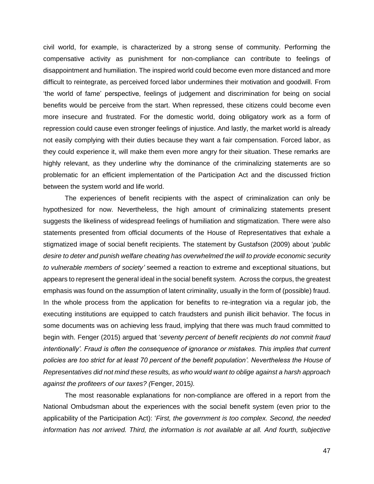civil world, for example, is characterized by a strong sense of community. Performing the compensative activity as punishment for non-compliance can contribute to feelings of disappointment and humiliation. The inspired world could become even more distanced and more difficult to reintegrate, as perceived forced labor undermines their motivation and goodwill. From 'the world of fame' perspective, feelings of judgement and discrimination for being on social benefits would be perceive from the start. When repressed, these citizens could become even more insecure and frustrated. For the domestic world, doing obligatory work as a form of repression could cause even stronger feelings of injustice. And lastly, the market world is already not easily complying with their duties because they want a fair compensation. Forced labor, as they could experience it, will make them even more angry for their situation. These remarks are highly relevant, as they underline why the dominance of the criminalizing statements are so problematic for an efficient implementation of the Participation Act and the discussed friction between the system world and life world.

The experiences of benefit recipients with the aspect of criminalization can only be hypothesized for now. Nevertheless, the high amount of criminalizing statements present suggests the likeliness of widespread feelings of humiliation and stigmatization. There were also statements presented from official documents of the House of Representatives that exhale a stigmatized image of social benefit recipients. The statement by Gustafson (2009) about '*public desire to deter and punish welfare cheating has overwhelmed the will to provide economic security to vulnerable members of society'* seemed a reaction to extreme and exceptional situations, but appears to represent the general ideal in the social benefit system. Across the corpus, the greatest emphasis was found on the assumption of latent criminality, usually in the form of (possible) fraud. In the whole process from the application for benefits to re-integration via a regular job, the executing institutions are equipped to catch fraudsters and punish illicit behavior. The focus in some documents was on achieving less fraud, implying that there was much fraud committed to begin with. Fenger (2015) argued that '*seventy percent of benefit recipients do not commit fraud intentionally'. Fraud is often the consequence of ignorance or mistakes. This implies that current policies are too strict for at least 70 percent of the benefit population'. Nevertheless the House of Representatives did not mind these results, as who would want to oblige against a harsh approach against the profiteers of our taxes? (*Fenger, 2015*).* 

The most reasonable explanations for non-compliance are offered in a report from the National Ombudsman about the experiences with the social benefit system (even prior to the applicability of the Participation Act): '*First, the government is too complex. Second, the needed information has not arrived. Third, the information is not available at all. And fourth, subjective*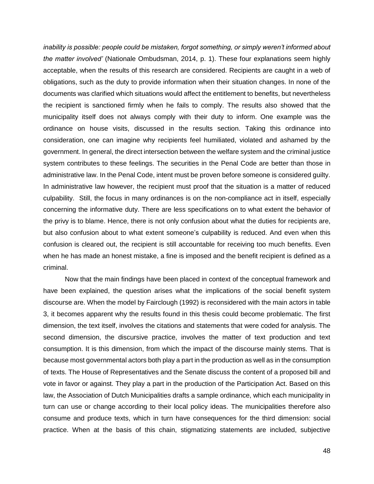*inability is possible: people could be mistaken, forgot something, or simply weren't informed about the matter involved'* (Nationale Ombudsman, 2014, p. 1). These four explanations seem highly acceptable, when the results of this research are considered. Recipients are caught in a web of obligations, such as the duty to provide information when their situation changes. In none of the documents was clarified which situations would affect the entitlement to benefits, but nevertheless the recipient is sanctioned firmly when he fails to comply. The results also showed that the municipality itself does not always comply with their duty to inform. One example was the ordinance on house visits, discussed in the results section. Taking this ordinance into consideration, one can imagine why recipients feel humiliated, violated and ashamed by the government. In general, the direct intersection between the welfare system and the criminal justice system contributes to these feelings. The securities in the Penal Code are better than those in administrative law. In the Penal Code, intent must be proven before someone is considered guilty. In administrative law however, the recipient must proof that the situation is a matter of reduced culpability. Still, the focus in many ordinances is on the non-compliance act in itself, especially concerning the informative duty. There are less specifications on to what extent the behavior of the privy is to blame. Hence, there is not only confusion about what the duties for recipients are, but also confusion about to what extent someone's culpability is reduced. And even when this confusion is cleared out, the recipient is still accountable for receiving too much benefits. Even when he has made an honest mistake, a fine is imposed and the benefit recipient is defined as a criminal.

Now that the main findings have been placed in context of the conceptual framework and have been explained, the question arises what the implications of the social benefit system discourse are. When the model by Fairclough (1992) is reconsidered with the main actors in table 3, it becomes apparent why the results found in this thesis could become problematic. The first dimension, the text itself, involves the citations and statements that were coded for analysis. The second dimension, the discursive practice, involves the matter of text production and text consumption. It is this dimension, from which the impact of the discourse mainly stems. That is because most governmental actors both play a part in the production as well as in the consumption of texts. The House of Representatives and the Senate discuss the content of a proposed bill and vote in favor or against. They play a part in the production of the Participation Act. Based on this law, the Association of Dutch Municipalities drafts a sample ordinance, which each municipality in turn can use or change according to their local policy ideas. The municipalities therefore also consume and produce texts, which in turn have consequences for the third dimension: social practice. When at the basis of this chain, stigmatizing statements are included, subjective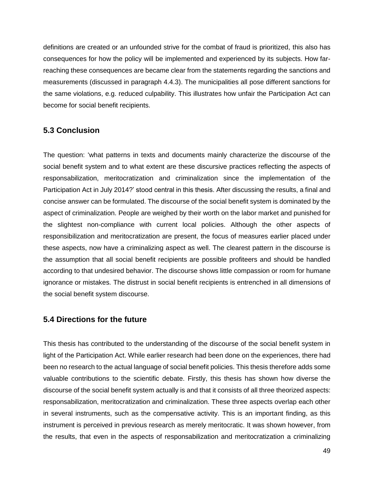definitions are created or an unfounded strive for the combat of fraud is prioritized, this also has consequences for how the policy will be implemented and experienced by its subjects. How farreaching these consequences are became clear from the statements regarding the sanctions and measurements (discussed in paragraph 4.4.3). The municipalities all pose different sanctions for the same violations, e.g. reduced culpability. This illustrates how unfair the Participation Act can become for social benefit recipients.

## **5.3 Conclusion**

The question: 'what patterns in texts and documents mainly characterize the discourse of the social benefit system and to what extent are these discursive practices reflecting the aspects of responsabilization, meritocratization and criminalization since the implementation of the Participation Act in July 2014?' stood central in this thesis. After discussing the results, a final and concise answer can be formulated. The discourse of the social benefit system is dominated by the aspect of criminalization. People are weighed by their worth on the labor market and punished for the slightest non-compliance with current local policies. Although the other aspects of responsibilization and meritocratization are present, the focus of measures earlier placed under these aspects, now have a criminalizing aspect as well. The clearest pattern in the discourse is the assumption that all social benefit recipients are possible profiteers and should be handled according to that undesired behavior. The discourse shows little compassion or room for humane ignorance or mistakes. The distrust in social benefit recipients is entrenched in all dimensions of the social benefit system discourse.

## **5.4 Directions for the future**

This thesis has contributed to the understanding of the discourse of the social benefit system in light of the Participation Act. While earlier research had been done on the experiences, there had been no research to the actual language of social benefit policies. This thesis therefore adds some valuable contributions to the scientific debate. Firstly, this thesis has shown how diverse the discourse of the social benefit system actually is and that it consists of all three theorized aspects: responsabilization, meritocratization and criminalization. These three aspects overlap each other in several instruments, such as the compensative activity. This is an important finding, as this instrument is perceived in previous research as merely meritocratic. It was shown however, from the results, that even in the aspects of responsabilization and meritocratization a criminalizing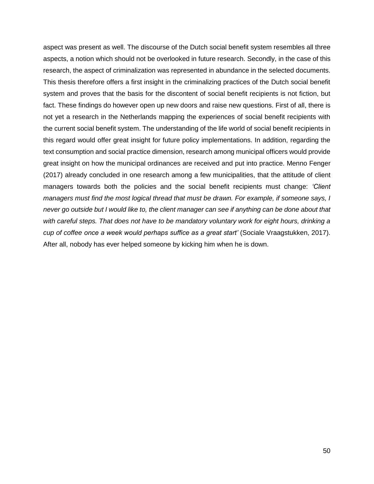aspect was present as well. The discourse of the Dutch social benefit system resembles all three aspects, a notion which should not be overlooked in future research. Secondly, in the case of this research, the aspect of criminalization was represented in abundance in the selected documents. This thesis therefore offers a first insight in the criminalizing practices of the Dutch social benefit system and proves that the basis for the discontent of social benefit recipients is not fiction, but fact. These findings do however open up new doors and raise new questions. First of all, there is not yet a research in the Netherlands mapping the experiences of social benefit recipients with the current social benefit system. The understanding of the life world of social benefit recipients in this regard would offer great insight for future policy implementations. In addition, regarding the text consumption and social practice dimension, research among municipal officers would provide great insight on how the municipal ordinances are received and put into practice. Menno Fenger (2017) already concluded in one research among a few municipalities, that the attitude of client managers towards both the policies and the social benefit recipients must change: *'Client managers must find the most logical thread that must be drawn. For example, if someone says, I*  never go outside but I would like to, the client manager can see if anything can be done about that *with careful steps. That does not have to be mandatory voluntary work for eight hours, drinking a cup of coffee once a week would perhaps suffice as a great start'* (Sociale Vraagstukken, 2017). After all, nobody has ever helped someone by kicking him when he is down.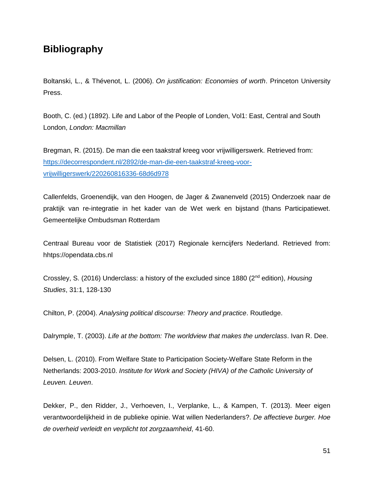# **Bibliography**

Boltanski, L., & Thévenot, L. (2006). *On justification: Economies of worth*. Princeton University Press.

Booth, C. (ed.) (1892). Life and Labor of the People of Londen, Vol1: East, Central and South London, *London: Macmillan* 

Bregman, R. (2015). De man die een taakstraf kreeg voor vrijwilligerswerk. Retrieved from: [https://decorrespondent.nl/2892/de-man-die-een-taakstraf-kreeg-voor](https://decorrespondent.nl/2892/de-man-die-een-taakstraf-kreeg-voor-vrijwilligerswerk/220260816336-68d6d978)[vrijwilligerswerk/220260816336-68d6d978](https://decorrespondent.nl/2892/de-man-die-een-taakstraf-kreeg-voor-vrijwilligerswerk/220260816336-68d6d978)

Callenfelds, Groenendijk, van den Hoogen, de Jager & Zwanenveld (2015) Onderzoek naar de praktijk van re-integratie in het kader van de Wet werk en bijstand (thans Participatiewet. Gemeentelijke Ombudsman Rotterdam

Centraal Bureau voor de Statistiek (2017) Regionale kerncijfers Nederland. Retrieved from: hhtps://opendata.cbs.nl

Crossley, S. (2016) Underclass: a history of the excluded since 1880 (2nd edition), *Housing Studies*, 31:1, 128-130

Chilton, P. (2004). *Analysing political discourse: Theory and practice*. Routledge.

Dalrymple, T. (2003). *Life at the bottom: The worldview that makes the underclass*. Ivan R. Dee.

Delsen, L. (2010). From Welfare State to Participation Society-Welfare State Reform in the Netherlands: 2003-2010. *Institute for Work and Society (HIVA) of the Catholic University of Leuven. Leuven*.

Dekker, P., den Ridder, J., Verhoeven, I., Verplanke, L., & Kampen, T. (2013). Meer eigen verantwoordelijkheid in de publieke opinie. Wat willen Nederlanders?. *De affectieve burger. Hoe de overheid verleidt en verplicht tot zorgzaamheid*, 41-60.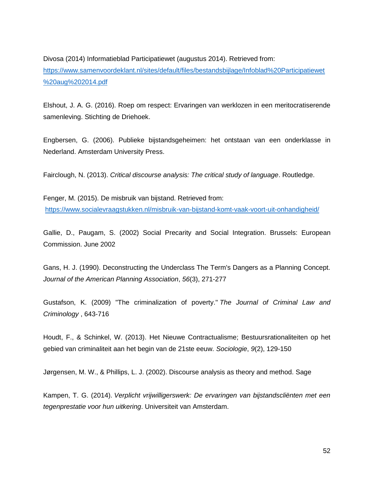Divosa (2014) Informatieblad Participatiewet (augustus 2014). Retrieved from: [https://www.samenvoordeklant.nl/sites/default/files/bestandsbijlage/Infoblad%20Participatiewet](https://www.samenvoordeklant.nl/sites/default/files/bestandsbijlage/Infoblad%20Participatiewet%20aug%202014.pdf) [%20aug%202014.pdf](https://www.samenvoordeklant.nl/sites/default/files/bestandsbijlage/Infoblad%20Participatiewet%20aug%202014.pdf)

Elshout, J. A. G. (2016). Roep om respect: Ervaringen van werklozen in een meritocratiserende samenleving. Stichting de Driehoek.

Engbersen, G. (2006). Publieke bijstandsgeheimen: het ontstaan van een onderklasse in Nederland. Amsterdam University Press.

Fairclough, N. (2013). *Critical discourse analysis: The critical study of language*. Routledge.

Fenger, M. (2015). De misbruik van bijstand. Retrieved from: <https://www.socialevraagstukken.nl/misbruik-van-bijstand-komt-vaak-voort-uit-onhandigheid/>

Gallie, D., Paugam, S. (2002) Social Precarity and Social Integration. Brussels: European Commission. June 2002

Gans, H. J. (1990). Deconstructing the Underclass The Term's Dangers as a Planning Concept. *Journal of the American Planning Association*, *56*(3), 271-277

Gustafson, K. (2009) "The criminalization of poverty." *The Journal of Criminal Law and Criminology* , 643-716

Houdt, F., & Schinkel, W. (2013). Het Nieuwe Contractualisme; Bestuursrationaliteiten op het gebied van criminaliteit aan het begin van de 21ste eeuw. *Sociologie*, *9*(2), 129-150

Jørgensen, M. W., & Phillips, L. J. (2002). Discourse analysis as theory and method. Sage

Kampen, T. G. (2014). *Verplicht vrijwilligerswerk: De ervaringen van bijstandscliënten met een tegenprestatie voor hun uitkering*. Universiteit van Amsterdam.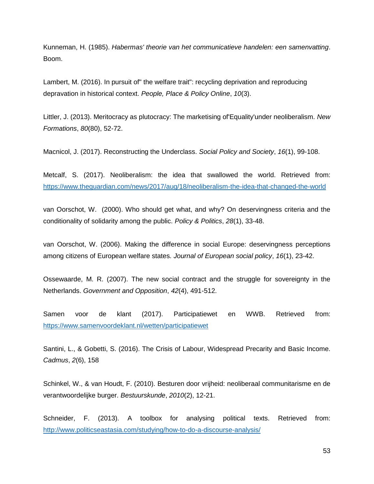Kunneman, H. (1985). *Habermas' theorie van het communicatieve handelen: een samenvatting*. Boom.

Lambert, M. (2016). In pursuit of" the welfare trait": recycling deprivation and reproducing depravation in historical context. *People, Place & Policy Online*, *10*(3).

Littler, J. (2013). Meritocracy as plutocracy: The marketising of'Equality'under neoliberalism. *New Formations*, *80*(80), 52-72.

Macnicol, J. (2017). Reconstructing the Underclass. *Social Policy and Society*, *16*(1), 99-108.

Metcalf, S. (2017). Neoliberalism: the idea that swallowed the world. Retrieved from: <https://www.theguardian.com/news/2017/aug/18/neoliberalism-the-idea-that-changed-the-world>

van Oorschot, W. (2000). Who should get what, and why? On deservingness criteria and the conditionality of solidarity among the public. *Policy & Politics*, *28*(1), 33-48.

van Oorschot, W. (2006). Making the difference in social Europe: deservingness perceptions among citizens of European welfare states. *Journal of European social policy*, *16*(1), 23-42.

Ossewaarde, M. R. (2007). The new social contract and the struggle for sovereignty in the Netherlands. *Government and Opposition*, *42*(4), 491-512.

Samen voor de klant (2017). Participatiewet en WWB. Retrieved from: <https://www.samenvoordeklant.nl/wetten/participatiewet>

Santini, L., & Gobetti, S. (2016). The Crisis of Labour, Widespread Precarity and Basic Income. *Cadmus*, *2*(6), 158

Schinkel, W., & van Houdt, F. (2010). Besturen door vrijheid: neoliberaal communitarisme en de verantwoordelijke burger. *Bestuurskunde*, *2010*(2), 12-21.

Schneider, F. (2013). A toolbox for analysing political texts. Retrieved from: <http://www.politicseastasia.com/studying/how-to-do-a-discourse-analysis/>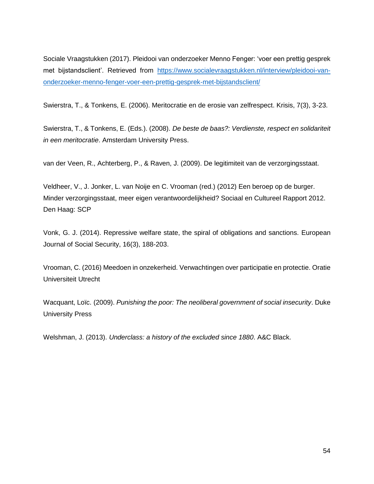Sociale Vraagstukken (2017). Pleidooi van onderzoeker Menno Fenger: 'voer een prettig gesprek met bijstandsclient'. Retrieved from [https://www.socialevraagstukken.nl/interview/pleidooi-van](https://www.socialevraagstukken.nl/interview/pleidooi-van-onderzoeker-menno-fenger-voer-een-prettig-gesprek-met-bijstandsclient/)[onderzoeker-menno-fenger-voer-een-prettig-gesprek-met-bijstandsclient/](https://www.socialevraagstukken.nl/interview/pleidooi-van-onderzoeker-menno-fenger-voer-een-prettig-gesprek-met-bijstandsclient/)

Swierstra, T., & Tonkens, E. (2006). Meritocratie en de erosie van zelfrespect. Krisis, 7(3), 3-23.

Swierstra, T., & Tonkens, E. (Eds.). (2008). *De beste de baas?: Verdienste, respect en solidariteit in een meritocratie*. Amsterdam University Press.

van der Veen, R., Achterberg, P., & Raven, J. (2009). De legitimiteit van de verzorgingsstaat.

Veldheer, V., J. Jonker, L. van Noije en C. Vrooman (red.) (2012) Een beroep op de burger. Minder verzorgingsstaat, meer eigen verantwoordelijkheid? Sociaal en Cultureel Rapport 2012. Den Haag: SCP

Vonk, G. J. (2014). Repressive welfare state, the spiral of obligations and sanctions. European Journal of Social Security, 16(3), 188-203.

Vrooman, C. (2016) Meedoen in onzekerheid. Verwachtingen over participatie en protectie. Oratie Universiteit Utrecht

Wacquant, Loïc. (2009). *Punishing the poor: The neoliberal government of social insecurity*. Duke University Press

Welshman, J. (2013). *Underclass: a history of the excluded since 1880*. A&C Black.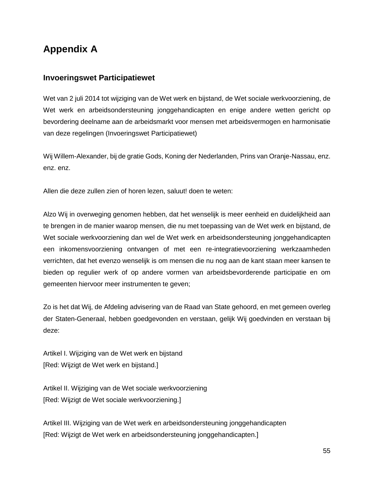# **Appendix A**

## **Invoeringswet Participatiewet**

Wet van 2 juli 2014 tot wijziging van de Wet werk en bijstand, de Wet sociale werkvoorziening, de Wet werk en arbeidsondersteuning jonggehandicapten en enige andere wetten gericht op bevordering deelname aan de arbeidsmarkt voor mensen met arbeidsvermogen en harmonisatie van deze regelingen (Invoeringswet Participatiewet)

Wij Willem-Alexander, bij de gratie Gods, Koning der Nederlanden, Prins van Oranje-Nassau, enz. enz. enz.

Allen die deze zullen zien of horen lezen, saluut! doen te weten:

Alzo Wij in overweging genomen hebben, dat het wenselijk is meer eenheid en duidelijkheid aan te brengen in de manier waarop mensen, die nu met toepassing van de Wet werk en bijstand, de Wet sociale werkvoorziening dan wel de Wet werk en arbeidsondersteuning jonggehandicapten een inkomensvoorziening ontvangen of met een re-integratievoorziening werkzaamheden verrichten, dat het evenzo wenselijk is om mensen die nu nog aan de kant staan meer kansen te bieden op regulier werk of op andere vormen van arbeidsbevorderende participatie en om gemeenten hiervoor meer instrumenten te geven;

Zo is het dat Wij, de Afdeling advisering van de Raad van State gehoord, en met gemeen overleg der Staten-Generaal, hebben goedgevonden en verstaan, gelijk Wij goedvinden en verstaan bij deze:

Artikel I. Wijziging van de Wet werk en bijstand [Red: Wijzigt de Wet werk en bijstand.]

Artikel II. Wijziging van de Wet sociale werkvoorziening [Red: Wijzigt de Wet sociale werkvoorziening.]

Artikel III. Wijziging van de Wet werk en arbeidsondersteuning jonggehandicapten [Red: Wijzigt de Wet werk en arbeidsondersteuning jonggehandicapten.]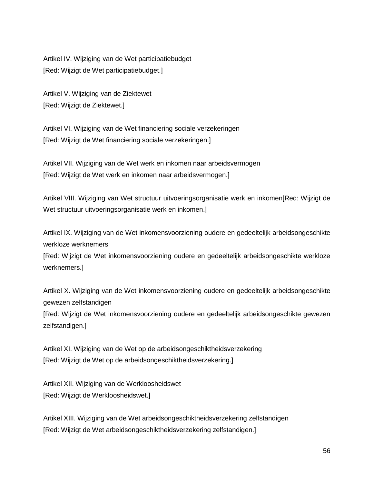Artikel IV. Wijziging van de Wet participatiebudget [Red: Wijzigt de Wet participatiebudget.]

Artikel V. Wijziging van de Ziektewet [Red: Wijzigt de Ziektewet.]

Artikel VI. Wijziging van de Wet financiering sociale verzekeringen [Red: Wijzigt de Wet financiering sociale verzekeringen.]

Artikel VII. Wijziging van de Wet werk en inkomen naar arbeidsvermogen [Red: Wijzigt de Wet werk en inkomen naar arbeidsvermogen.]

Artikel VIII. Wijziging van Wet structuur uitvoeringsorganisatie werk en inkomen[Red: Wijzigt de Wet structuur uitvoeringsorganisatie werk en inkomen.]

Artikel IX. Wijziging van de Wet inkomensvoorziening oudere en gedeeltelijk arbeidsongeschikte werkloze werknemers

[Red: Wijzigt de Wet inkomensvoorziening oudere en gedeeltelijk arbeidsongeschikte werkloze werknemers.]

Artikel X. Wijziging van de Wet inkomensvoorziening oudere en gedeeltelijk arbeidsongeschikte gewezen zelfstandigen

[Red: Wijzigt de Wet inkomensvoorziening oudere en gedeeltelijk arbeidsongeschikte gewezen zelfstandigen.]

Artikel XI. Wijziging van de Wet op de arbeidsongeschiktheidsverzekering [Red: Wijzigt de Wet op de arbeidsongeschiktheidsverzekering.]

Artikel XII. Wijziging van de Werkloosheidswet [Red: Wijzigt de Werkloosheidswet.]

Artikel XIII. Wijziging van de Wet arbeidsongeschiktheidsverzekering zelfstandigen [Red: Wijzigt de Wet arbeidsongeschiktheidsverzekering zelfstandigen.]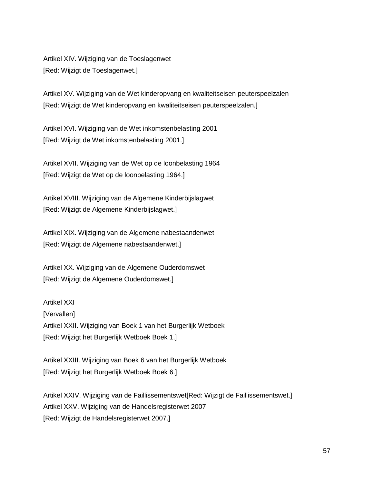Artikel XIV. Wijziging van de Toeslagenwet [Red: Wijzigt de Toeslagenwet.]

Artikel XV. Wijziging van de Wet kinderopvang en kwaliteitseisen peuterspeelzalen [Red: Wijzigt de Wet kinderopvang en kwaliteitseisen peuterspeelzalen.]

Artikel XVI. Wijziging van de Wet inkomstenbelasting 2001 [Red: Wijzigt de Wet inkomstenbelasting 2001.]

Artikel XVII. Wijziging van de Wet op de loonbelasting 1964 [Red: Wijzigt de Wet op de loonbelasting 1964.]

Artikel XVIII. Wijziging van de Algemene Kinderbijslagwet [Red: Wijzigt de Algemene Kinderbijslagwet.]

Artikel XIX. Wijziging van de Algemene nabestaandenwet [Red: Wijzigt de Algemene nabestaandenwet.]

Artikel XX. Wijziging van de Algemene Ouderdomswet [Red: Wijzigt de Algemene Ouderdomswet.]

Artikel XXI [Vervallen] Artikel XXII. Wijziging van Boek 1 van het Burgerlijk Wetboek [Red: Wijzigt het Burgerlijk Wetboek Boek 1.]

Artikel XXIII. Wijziging van Boek 6 van het Burgerlijk Wetboek [Red: Wijzigt het Burgerlijk Wetboek Boek 6.]

Artikel XXIV. Wijziging van de Faillissementswet[Red: Wijzigt de Faillissementswet.] Artikel XXV. Wijziging van de Handelsregisterwet 2007 [Red: Wijzigt de Handelsregisterwet 2007.]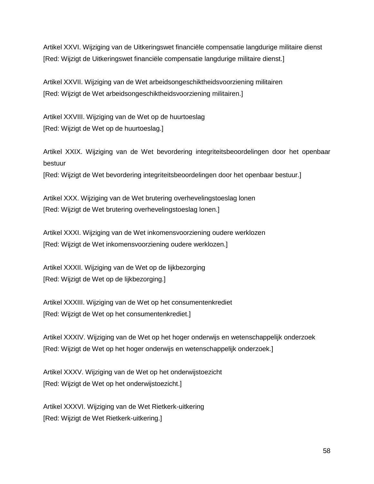Artikel XXVI. Wijziging van de Uitkeringswet financiële compensatie langdurige militaire dienst [Red: Wijzigt de Uitkeringswet financiële compensatie langdurige militaire dienst.]

Artikel XXVII. Wijziging van de Wet arbeidsongeschiktheidsvoorziening militairen [Red: Wijzigt de Wet arbeidsongeschiktheidsvoorziening militairen.]

Artikel XXVIII. Wijziging van de Wet op de huurtoeslag [Red: Wijzigt de Wet op de huurtoeslag.]

Artikel XXIX. Wijziging van de Wet bevordering integriteitsbeoordelingen door het openbaar bestuur

[Red: Wijzigt de Wet bevordering integriteitsbeoordelingen door het openbaar bestuur.]

Artikel XXX. Wijziging van de Wet brutering overhevelingstoeslag lonen [Red: Wijzigt de Wet brutering overhevelingstoeslag lonen.]

Artikel XXXI. Wijziging van de Wet inkomensvoorziening oudere werklozen [Red: Wijzigt de Wet inkomensvoorziening oudere werklozen.]

Artikel XXXII. Wijziging van de Wet op de lijkbezorging [Red: Wijzigt de Wet op de lijkbezorging.]

Artikel XXXIII. Wijziging van de Wet op het consumentenkrediet [Red: Wijzigt de Wet op het consumentenkrediet.]

Artikel XXXIV. Wijziging van de Wet op het hoger onderwijs en wetenschappelijk onderzoek [Red: Wijzigt de Wet op het hoger onderwijs en wetenschappelijk onderzoek.]

Artikel XXXV. Wijziging van de Wet op het onderwijstoezicht [Red: Wijzigt de Wet op het onderwijstoezicht.]

Artikel XXXVI. Wijziging van de Wet Rietkerk-uitkering [Red: Wijzigt de Wet Rietkerk-uitkering.]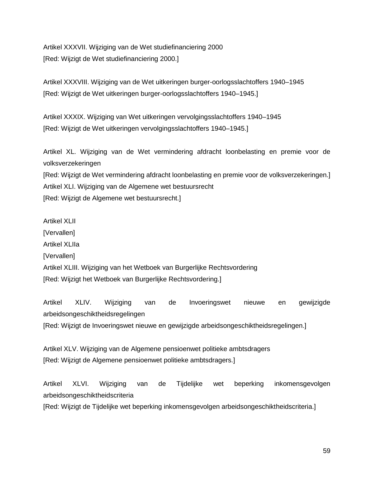Artikel XXXVII. Wijziging van de Wet studiefinanciering 2000 [Red: Wijzigt de Wet studiefinanciering 2000.]

Artikel XXXVIII. Wijziging van de Wet uitkeringen burger-oorlogsslachtoffers 1940–1945 [Red: Wijzigt de Wet uitkeringen burger-oorlogsslachtoffers 1940–1945.]

Artikel XXXIX. Wijziging van Wet uitkeringen vervolgingsslachtoffers 1940–1945 [Red: Wijzigt de Wet uitkeringen vervolgingsslachtoffers 1940–1945.]

Artikel XL. Wijziging van de Wet vermindering afdracht loonbelasting en premie voor de volksverzekeringen

[Red: Wijzigt de Wet vermindering afdracht loonbelasting en premie voor de volksverzekeringen.] Artikel XLI. Wijziging van de Algemene wet bestuursrecht [Red: Wijzigt de Algemene wet bestuursrecht.]

Artikel XLII [Vervallen] Artikel XLIIa [Vervallen] Artikel XLIII. Wijziging van het Wetboek van Burgerlijke Rechtsvordering [Red: Wijzigt het Wetboek van Burgerlijke Rechtsvordering.]

Artikel XLIV. Wijziging van de Invoeringswet nieuwe en gewijzigde arbeidsongeschiktheidsregelingen [Red: Wijzigt de Invoeringswet nieuwe en gewijzigde arbeidsongeschiktheidsregelingen.]

Artikel XLV. Wijziging van de Algemene pensioenwet politieke ambtsdragers [Red: Wijzigt de Algemene pensioenwet politieke ambtsdragers.]

Artikel XLVI. Wijziging van de Tijdelijke wet beperking inkomensgevolgen arbeidsongeschiktheidscriteria

[Red: Wijzigt de Tijdelijke wet beperking inkomensgevolgen arbeidsongeschiktheidscriteria.]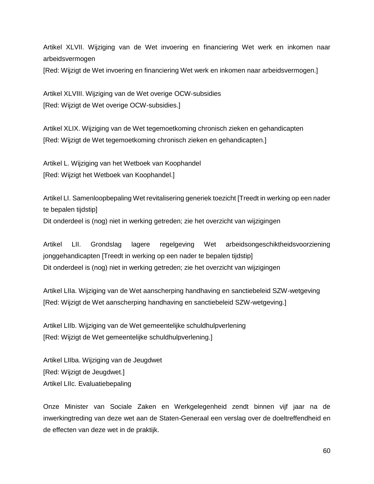Artikel XLVII. Wijziging van de Wet invoering en financiering Wet werk en inkomen naar arbeidsvermogen

[Red: Wijzigt de Wet invoering en financiering Wet werk en inkomen naar arbeidsvermogen.]

Artikel XLVIII. Wijziging van de Wet overige OCW-subsidies [Red: Wijzigt de Wet overige OCW-subsidies.]

Artikel XLIX. Wijziging van de Wet tegemoetkoming chronisch zieken en gehandicapten [Red: Wijzigt de Wet tegemoetkoming chronisch zieken en gehandicapten.]

Artikel L. Wijziging van het Wetboek van Koophandel [Red: Wijzigt het Wetboek van Koophandel.]

Artikel LI. Samenloopbepaling Wet revitalisering generiek toezicht [Treedt in werking op een nader te bepalen tijdstip]

Dit onderdeel is (nog) niet in werking getreden; zie het overzicht van wijzigingen

Artikel LII. Grondslag lagere regelgeving Wet arbeidsongeschiktheidsvoorziening jonggehandicapten [Treedt in werking op een nader te bepalen tijdstip] Dit onderdeel is (nog) niet in werking getreden; zie het overzicht van wijzigingen

Artikel LIIa. Wijziging van de Wet aanscherping handhaving en sanctiebeleid SZW-wetgeving [Red: Wijzigt de Wet aanscherping handhaving en sanctiebeleid SZW-wetgeving.]

Artikel LIIb. Wijziging van de Wet gemeentelijke schuldhulpverlening [Red: Wijzigt de Wet gemeentelijke schuldhulpverlening.]

Artikel LIIba. Wijziging van de Jeugdwet [Red: Wijzigt de Jeugdwet.] Artikel LIIc. Evaluatiebepaling

Onze Minister van Sociale Zaken en Werkgelegenheid zendt binnen vijf jaar na de inwerkingtreding van deze wet aan de Staten-Generaal een verslag over de doeltreffendheid en de effecten van deze wet in de praktijk.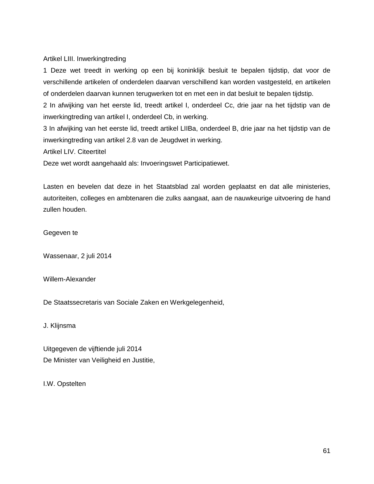Artikel LIII. Inwerkingtreding

1 Deze wet treedt in werking op een bij koninklijk besluit te bepalen tijdstip, dat voor de verschillende artikelen of onderdelen daarvan verschillend kan worden vastgesteld, en artikelen of onderdelen daarvan kunnen terugwerken tot en met een in dat besluit te bepalen tijdstip.

2 In afwijking van het eerste lid, treedt artikel I, onderdeel Cc, drie jaar na het tijdstip van de inwerkingtreding van artikel I, onderdeel Cb, in werking.

3 In afwijking van het eerste lid, treedt artikel LIIBa, onderdeel B, drie jaar na het tijdstip van de inwerkingtreding van artikel 2.8 van de Jeugdwet in werking.

Artikel LIV. Citeertitel

Deze wet wordt aangehaald als: Invoeringswet Participatiewet.

Lasten en bevelen dat deze in het Staatsblad zal worden geplaatst en dat alle ministeries, autoriteiten, colleges en ambtenaren die zulks aangaat, aan de nauwkeurige uitvoering de hand zullen houden.

Gegeven te

Wassenaar, 2 juli 2014

Willem-Alexander

De Staatssecretaris van Sociale Zaken en Werkgelegenheid,

J. Klijnsma

Uitgegeven de vijftiende juli 2014 De Minister van Veiligheid en Justitie,

I.W. Opstelten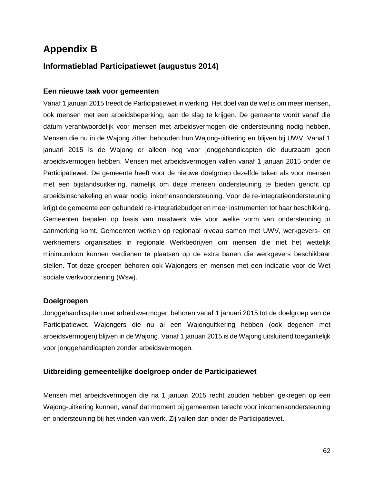# **Appendix B**

# **Informatieblad Participatiewet (augustus 2014)**

#### **Een nieuwe taak voor gemeenten**

Vanaf 1 januari 2015 treedt de Participatiewet in werking. Het doel van de wet is om meer mensen, ook mensen met een arbeidsbeperking, aan de slag te krijgen. De gemeente wordt vanaf die datum verantwoordelijk voor mensen met arbeidsvermogen die ondersteuning nodig hebben. Mensen die nu in de Wajong zitten behouden hun Wajong-uitkering en blijven bij UWV. Vanaf 1 januari 2015 is de Wajong er alleen nog voor jonggehandicapten die duurzaam geen arbeidsvermogen hebben. Mensen met arbeidsvermogen vallen vanaf 1 januari 2015 onder de Participatiewet. De gemeente heeft voor de nieuwe doelgroep dezelfde taken als voor mensen met een bijstandsuitkering, namelijk om deze mensen ondersteuning te bieden gericht op arbeidsinschakeling en waar nodig, inkomensondersteuning. Voor de re-integratieondersteuning krijgt de gemeente een gebundeld re-integratiebudget en meer instrumenten tot haar beschikking. Gemeenten bepalen op basis van maatwerk wie voor welke vorm van ondersteuning in aanmerking komt. Gemeenten werken op regionaal niveau samen met UWV, werkgevers- en werknemers organisaties in regionale Werkbedrijven om mensen die niet het wettelijk minimumloon kunnen verdienen te plaatsen op de extra banen die werkgevers beschikbaar stellen. Tot deze groepen behoren ook Wajongers en mensen met een indicatie voor de Wet sociale werkvoorziening (Wsw).

#### **Doelgroepen**

Jonggehandicapten met arbeidsvermogen behoren vanaf 1 januari 2015 tot de doelgroep van de Participatiewet. Wajongers die nu al een Wajonguitkering hebben (ook degenen met arbeidsvermogen) blijven in de Wajong. Vanaf 1 januari 2015 is de Wajong uitsluitend toegankelijk voor jonggehandicapten zonder arbeidsvermogen.

#### **Uitbreiding gemeentelijke doelgroep onder de Participatiewet**

Mensen met arbeidsvermogen die na 1 januari 2015 recht zouden hebben gekregen op een Wajong-uitkering kunnen, vanaf dat moment bij gemeenten terecht voor inkomensondersteuning en ondersteuning bij het vinden van werk. Zij vallen dan onder de Participatiewet.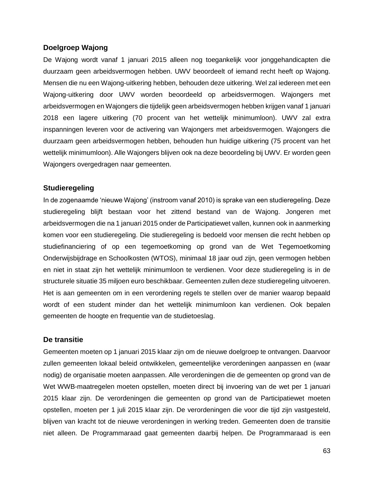#### **Doelgroep Wajong**

De Wajong wordt vanaf 1 januari 2015 alleen nog toegankelijk voor jonggehandicapten die duurzaam geen arbeidsvermogen hebben. UWV beoordeelt of iemand recht heeft op Wajong. Mensen die nu een Wajong-uitkering hebben, behouden deze uitkering. Wel zal iedereen met een Wajong-uitkering door UWV worden beoordeeld op arbeidsvermogen. Wajongers met arbeidsvermogen en Wajongers die tijdelijk geen arbeidsvermogen hebben krijgen vanaf 1 januari 2018 een lagere uitkering (70 procent van het wettelijk minimumloon). UWV zal extra inspanningen leveren voor de activering van Wajongers met arbeidsvermogen. Wajongers die duurzaam geen arbeidsvermogen hebben, behouden hun huidige uitkering (75 procent van het wettelijk minimumloon). Alle Wajongers blijven ook na deze beoordeling bij UWV. Er worden geen Wajongers overgedragen naar gemeenten.

#### **Studieregeling**

In de zogenaamde 'nieuwe Wajong' (instroom vanaf 2010) is sprake van een studieregeling. Deze studieregeling blijft bestaan voor het zittend bestand van de Wajong. Jongeren met arbeidsvermogen die na 1 januari 2015 onder de Participatiewet vallen, kunnen ook in aanmerking komen voor een studieregeling. Die studieregeling is bedoeld voor mensen die recht hebben op studiefinanciering of op een tegemoetkoming op grond van de Wet Tegemoetkoming Onderwijsbijdrage en Schoolkosten (WTOS), minimaal 18 jaar oud zijn, geen vermogen hebben en niet in staat zijn het wettelijk minimumloon te verdienen. Voor deze studieregeling is in de structurele situatie 35 miljoen euro beschikbaar. Gemeenten zullen deze studieregeling uitvoeren. Het is aan gemeenten om in een verordening regels te stellen over de manier waarop bepaald wordt of een student minder dan het wettelijk minimumloon kan verdienen. Ook bepalen gemeenten de hoogte en frequentie van de studietoeslag.

#### **De transitie**

Gemeenten moeten op 1 januari 2015 klaar zijn om de nieuwe doelgroep te ontvangen. Daarvoor zullen gemeenten lokaal beleid ontwikkelen, gemeentelijke verordeningen aanpassen en (waar nodig) de organisatie moeten aanpassen. Alle verordeningen die de gemeenten op grond van de Wet WWB-maatregelen moeten opstellen, moeten direct bij invoering van de wet per 1 januari 2015 klaar zijn. De verordeningen die gemeenten op grond van de Participatiewet moeten opstellen, moeten per 1 juli 2015 klaar zijn. De verordeningen die voor die tijd zijn vastgesteld, blijven van kracht tot de nieuwe verordeningen in werking treden. Gemeenten doen de transitie niet alleen. De Programmaraad gaat gemeenten daarbij helpen. De Programmaraad is een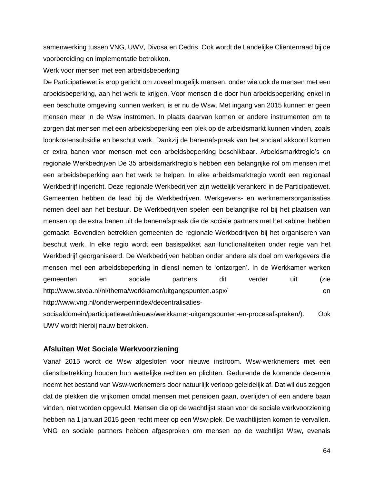samenwerking tussen VNG, UWV, Divosa en Cedris. Ook wordt de Landelijke Cliëntenraad bij de voorbereiding en implementatie betrokken.

Werk voor mensen met een arbeidsbeperking

De Participatiewet is erop gericht om zoveel mogelijk mensen, onder wie ook de mensen met een arbeidsbeperking, aan het werk te krijgen. Voor mensen die door hun arbeidsbeperking enkel in een beschutte omgeving kunnen werken, is er nu de Wsw. Met ingang van 2015 kunnen er geen mensen meer in de Wsw instromen. In plaats daarvan komen er andere instrumenten om te zorgen dat mensen met een arbeidsbeperking een plek op de arbeidsmarkt kunnen vinden, zoals loonkostensubsidie en beschut werk. Dankzij de banenafspraak van het sociaal akkoord komen er extra banen voor mensen met een arbeidsbeperking beschikbaar. Arbeidsmarktregio's en regionale Werkbedrijven De 35 arbeidsmarktregio's hebben een belangrijke rol om mensen met een arbeidsbeperking aan het werk te helpen. In elke arbeidsmarktregio wordt een regionaal Werkbedrijf ingericht. Deze regionale Werkbedrijven zijn wettelijk verankerd in de Participatiewet. Gemeenten hebben de lead bij de Werkbedrijven. Werkgevers- en werknemersorganisaties nemen deel aan het bestuur. De Werkbedrijven spelen een belangrijke rol bij het plaatsen van mensen op de extra banen uit de banenafspraak die de sociale partners met het kabinet hebben gemaakt. Bovendien betrekken gemeenten de regionale Werkbedrijven bij het organiseren van beschut werk. In elke regio wordt een basispakket aan functionaliteiten onder regie van het Werkbedrijf georganiseerd. De Werkbedrijven hebben onder andere als doel om werkgevers die mensen met een arbeidsbeperking in dienst nemen te 'ontzorgen'. In de Werkkamer werken gemeenten en sociale partners dit verder uit (zie http://www.stvda.nl/nl/thema/werkkamer/uitgangspunten.aspx/ en http://www.vng.nl/onderwerpenindex/decentralisatiessociaaldomein/participatiewet/nieuws/werkkamer-uitgangspunten-en-procesafspraken/). Ook

UWV wordt hierbij nauw betrokken.

#### **Afsluiten Wet Sociale Werkvoorziening**

Vanaf 2015 wordt de Wsw afgesloten voor nieuwe instroom. Wsw-werknemers met een dienstbetrekking houden hun wettelijke rechten en plichten. Gedurende de komende decennia neemt het bestand van Wsw-werknemers door natuurlijk verloop geleidelijk af. Dat wil dus zeggen dat de plekken die vrijkomen omdat mensen met pensioen gaan, overlijden of een andere baan vinden, niet worden opgevuld. Mensen die op de wachtlijst staan voor de sociale werkvoorziening hebben na 1 januari 2015 geen recht meer op een Wsw-plek. De wachtlijsten komen te vervallen. VNG en sociale partners hebben afgesproken om mensen op de wachtlijst Wsw, evenals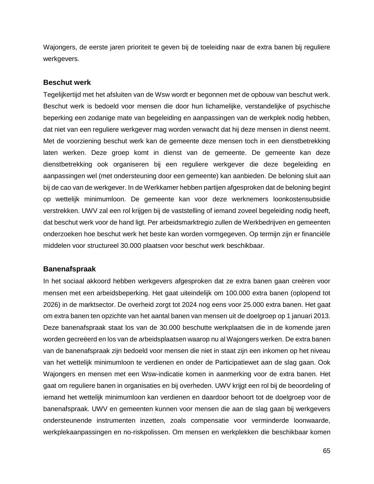Wajongers, de eerste jaren prioriteit te geven bij de toeleiding naar de extra banen bij reguliere werkgevers.

#### **Beschut werk**

Tegelijkertijd met het afsluiten van de Wsw wordt er begonnen met de opbouw van beschut werk. Beschut werk is bedoeld voor mensen die door hun lichamelijke, verstandelijke of psychische beperking een zodanige mate van begeleiding en aanpassingen van de werkplek nodig hebben, dat niet van een reguliere werkgever mag worden verwacht dat hij deze mensen in dienst neemt. Met de voorziening beschut werk kan de gemeente deze mensen toch in een dienstbetrekking laten werken. Deze groep komt in dienst van de gemeente. De gemeente kan deze dienstbetrekking ook organiseren bij een reguliere werkgever die deze begeleiding en aanpassingen wel (met ondersteuning door een gemeente) kan aanbieden. De beloning sluit aan bij de cao van de werkgever. In de Werkkamer hebben partijen afgesproken dat de beloning begint op wettelijk minimumloon. De gemeente kan voor deze werknemers loonkostensubsidie verstrekken. UWV zal een rol krijgen bij de vaststelling of iemand zoveel begeleiding nodig heeft, dat beschut werk voor de hand ligt. Per arbeidsmarktregio zullen de Werkbedrijven en gemeenten onderzoeken hoe beschut werk het beste kan worden vormgegeven. Op termijn zijn er financiële middelen voor structureel 30.000 plaatsen voor beschut werk beschikbaar.

#### **Banenafspraak**

In het sociaal akkoord hebben werkgevers afgesproken dat ze extra banen gaan creëren voor mensen met een arbeidsbeperking. Het gaat uiteindelijk om 100.000 extra banen (oplopend tot 2026) in de marktsector. De overheid zorgt tot 2024 nog eens voor 25.000 extra banen. Het gaat om extra banen ten opzichte van het aantal banen van mensen uit de doelgroep op 1 januari 2013. Deze banenafspraak staat los van de 30.000 beschutte werkplaatsen die in de komende jaren worden gecreëerd en los van de arbeidsplaatsen waarop nu al Wajongers werken. De extra banen van de banenafspraak zijn bedoeld voor mensen die niet in staat zijn een inkomen op het niveau van het wettelijk minimumloon te verdienen en onder de Participatiewet aan de slag gaan. Ook Wajongers en mensen met een Wsw-indicatie komen in aanmerking voor de extra banen. Het gaat om reguliere banen in organisaties en bij overheden. UWV krijgt een rol bij de beoordeling of iemand het wettelijk minimumloon kan verdienen en daardoor behoort tot de doelgroep voor de banenafspraak. UWV en gemeenten kunnen voor mensen die aan de slag gaan bij werkgevers ondersteunende instrumenten inzetten, zoals compensatie voor verminderde loonwaarde, werkplekaanpassingen en no-riskpolissen. Om mensen en werkplekken die beschikbaar komen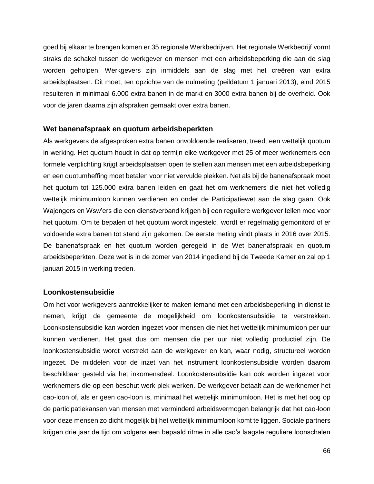goed bij elkaar te brengen komen er 35 regionale Werkbedrijven. Het regionale Werkbedrijf vormt straks de schakel tussen de werkgever en mensen met een arbeidsbeperking die aan de slag worden geholpen. Werkgevers zijn inmiddels aan de slag met het creëren van extra arbeidsplaatsen. Dit moet, ten opzichte van de nulmeting (peildatum 1 januari 2013), eind 2015 resulteren in minimaal 6.000 extra banen in de markt en 3000 extra banen bij de overheid. Ook voor de jaren daarna zijn afspraken gemaakt over extra banen.

#### **Wet banenafspraak en quotum arbeidsbeperkten**

Als werkgevers de afgesproken extra banen onvoldoende realiseren, treedt een wettelijk quotum in werking. Het quotum houdt in dat op termijn elke werkgever met 25 of meer werknemers een formele verplichting krijgt arbeidsplaatsen open te stellen aan mensen met een arbeidsbeperking en een quotumheffing moet betalen voor niet vervulde plekken. Net als bij de banenafspraak moet het quotum tot 125.000 extra banen leiden en gaat het om werknemers die niet het volledig wettelijk minimumloon kunnen verdienen en onder de Participatiewet aan de slag gaan. Ook Wajongers en Wsw'ers die een dienstverband krijgen bij een reguliere werkgever tellen mee voor het quotum. Om te bepalen of het quotum wordt ingesteld, wordt er regelmatig gemonitord of er voldoende extra banen tot stand zijn gekomen. De eerste meting vindt plaats in 2016 over 2015. De banenafspraak en het quotum worden geregeld in de Wet banenafspraak en quotum arbeidsbeperkten. Deze wet is in de zomer van 2014 ingediend bij de Tweede Kamer en zal op 1 januari 2015 in werking treden.

#### **Loonkostensubsidie**

Om het voor werkgevers aantrekkelijker te maken iemand met een arbeidsbeperking in dienst te nemen, krijgt de gemeente de mogelijkheid om loonkostensubsidie te verstrekken. Loonkostensubsidie kan worden ingezet voor mensen die niet het wettelijk minimumloon per uur kunnen verdienen. Het gaat dus om mensen die per uur niet volledig productief zijn. De loonkostensubsidie wordt verstrekt aan de werkgever en kan, waar nodig, structureel worden ingezet. De middelen voor de inzet van het instrument loonkostensubsidie worden daarom beschikbaar gesteld via het inkomensdeel. Loonkostensubsidie kan ook worden ingezet voor werknemers die op een beschut werk plek werken. De werkgever betaalt aan de werknemer het cao-loon of, als er geen cao-loon is, minimaal het wettelijk minimumloon. Het is met het oog op de participatiekansen van mensen met verminderd arbeidsvermogen belangrijk dat het cao-loon voor deze mensen zo dicht mogelijk bij het wettelijk minimumloon komt te liggen. Sociale partners krijgen drie jaar de tijd om volgens een bepaald ritme in alle cao's laagste reguliere loonschalen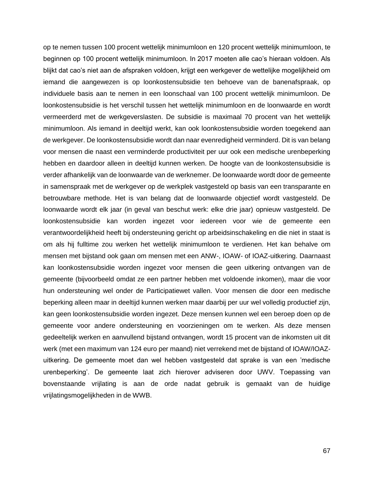op te nemen tussen 100 procent wettelijk minimumloon en 120 procent wettelijk minimumloon, te beginnen op 100 procent wettelijk minimumloon. In 2017 moeten alle cao's hieraan voldoen. Als blijkt dat cao's niet aan de afspraken voldoen, krijgt een werkgever de wettelijke mogelijkheid om iemand die aangewezen is op loonkostensubsidie ten behoeve van de banenafspraak, op individuele basis aan te nemen in een loonschaal van 100 procent wettelijk minimumloon. De loonkostensubsidie is het verschil tussen het wettelijk minimumloon en de loonwaarde en wordt vermeerderd met de werkgeverslasten. De subsidie is maximaal 70 procent van het wettelijk minimumloon. Als iemand in deeltijd werkt, kan ook loonkostensubsidie worden toegekend aan de werkgever. De loonkostensubsidie wordt dan naar evenredigheid verminderd. Dit is van belang voor mensen die naast een verminderde productiviteit per uur ook een medische urenbeperking hebben en daardoor alleen in deeltijd kunnen werken. De hoogte van de loonkostensubsidie is verder afhankelijk van de loonwaarde van de werknemer. De loonwaarde wordt door de gemeente in samenspraak met de werkgever op de werkplek vastgesteld op basis van een transparante en betrouwbare methode. Het is van belang dat de loonwaarde objectief wordt vastgesteld. De loonwaarde wordt elk jaar (in geval van beschut werk: elke drie jaar) opnieuw vastgesteld. De loonkostensubsidie kan worden ingezet voor iedereen voor wie de gemeente een verantwoordelijkheid heeft bij ondersteuning gericht op arbeidsinschakeling en die niet in staat is om als hij fulltime zou werken het wettelijk minimumloon te verdienen. Het kan behalve om mensen met bijstand ook gaan om mensen met een ANW-, IOAW- of IOAZ-uitkering. Daarnaast kan loonkostensubsidie worden ingezet voor mensen die geen uitkering ontvangen van de gemeente (bijvoorbeeld omdat ze een partner hebben met voldoende inkomen), maar die voor hun ondersteuning wel onder de Participatiewet vallen. Voor mensen die door een medische beperking alleen maar in deeltijd kunnen werken maar daarbij per uur wel volledig productief zijn, kan geen loonkostensubsidie worden ingezet. Deze mensen kunnen wel een beroep doen op de gemeente voor andere ondersteuning en voorzieningen om te werken. Als deze mensen gedeeltelijk werken en aanvullend bijstand ontvangen, wordt 15 procent van de inkomsten uit dit werk (met een maximum van 124 euro per maand) niet verrekend met de bijstand of IOAW/IOAZuitkering. De gemeente moet dan wel hebben vastgesteld dat sprake is van een 'medische urenbeperking'. De gemeente laat zich hierover adviseren door UWV. Toepassing van bovenstaande vrijlating is aan de orde nadat gebruik is gemaakt van de huidige vrijlatingsmogelijkheden in de WWB.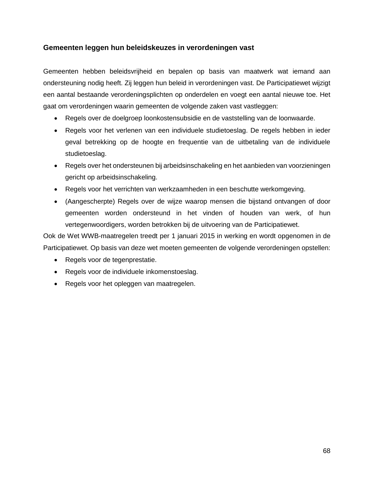#### **Gemeenten leggen hun beleidskeuzes in verordeningen vast**

Gemeenten hebben beleidsvrijheid en bepalen op basis van maatwerk wat iemand aan ondersteuning nodig heeft. Zij leggen hun beleid in verordeningen vast. De Participatiewet wijzigt een aantal bestaande verordeningsplichten op onderdelen en voegt een aantal nieuwe toe. Het gaat om verordeningen waarin gemeenten de volgende zaken vast vastleggen:

- Regels over de doelgroep loonkostensubsidie en de vaststelling van de loonwaarde.
- Regels voor het verlenen van een individuele studietoeslag. De regels hebben in ieder geval betrekking op de hoogte en frequentie van de uitbetaling van de individuele studietoeslag.
- Regels over het ondersteunen bij arbeidsinschakeling en het aanbieden van voorzieningen gericht op arbeidsinschakeling.
- Regels voor het verrichten van werkzaamheden in een beschutte werkomgeving.
- (Aangescherpte) Regels over de wijze waarop mensen die bijstand ontvangen of door gemeenten worden ondersteund in het vinden of houden van werk, of hun vertegenwoordigers, worden betrokken bij de uitvoering van de Participatiewet.

Ook de Wet WWB-maatregelen treedt per 1 januari 2015 in werking en wordt opgenomen in de Participatiewet. Op basis van deze wet moeten gemeenten de volgende verordeningen opstellen:

- Regels voor de tegenprestatie.
- Regels voor de individuele inkomenstoeslag.
- Regels voor het opleggen van maatregelen.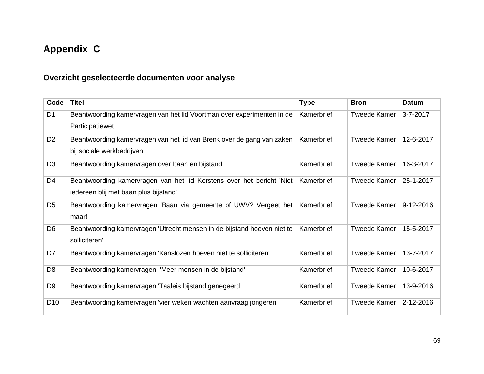# **Appendix C**

# **Overzicht geselecteerde documenten voor analyse**

| Code            | <b>Titel</b>                                                                                                   | <b>Type</b> | <b>Bron</b>         | <b>Datum</b> |
|-----------------|----------------------------------------------------------------------------------------------------------------|-------------|---------------------|--------------|
| D <sub>1</sub>  | Beantwoording kamervragen van het lid Voortman over experimenten in de<br>Participatiewet                      | Kamerbrief  | <b>Tweede Kamer</b> | 3-7-2017     |
| D <sub>2</sub>  | Beantwoording kamervragen van het lid van Brenk over de gang van zaken<br>bij sociale werkbedrijven            | Kamerbrief  | <b>Tweede Kamer</b> | 12-6-2017    |
| D <sub>3</sub>  | Beantwoording kamervragen over baan en bijstand                                                                | Kamerbrief  | <b>Tweede Kamer</b> | 16-3-2017    |
| D <sub>4</sub>  | Beantwoording kamervragen van het lid Kerstens over het bericht 'Niet<br>iedereen blij met baan plus bijstand' | Kamerbrief  | <b>Tweede Kamer</b> | 25-1-2017    |
| D <sub>5</sub>  | Beantwoording kamervragen 'Baan via gemeente of UWV? Vergeet het<br>maar!                                      | Kamerbrief  | <b>Tweede Kamer</b> | 9-12-2016    |
| D <sub>6</sub>  | Beantwoording kamervragen 'Utrecht mensen in de bijstand hoeven niet te<br>solliciteren'                       | Kamerbrief  | <b>Tweede Kamer</b> | 15-5-2017    |
| D7              | Beantwoording kamervragen 'Kanslozen hoeven niet te solliciteren'                                              | Kamerbrief  | <b>Tweede Kamer</b> | 13-7-2017    |
| D <sub>8</sub>  | Beantwoording kamervragen 'Meer mensen in de bijstand'                                                         | Kamerbrief  | <b>Tweede Kamer</b> | 10-6-2017    |
| D <sub>9</sub>  | Beantwoording kamervragen 'Taaleis bijstand genegeerd                                                          | Kamerbrief  | <b>Tweede Kamer</b> | 13-9-2016    |
| D <sub>10</sub> | Beantwoording kamervragen 'vier weken wachten aanvraag jongeren'                                               | Kamerbrief  | <b>Tweede Kamer</b> | 2-12-2016    |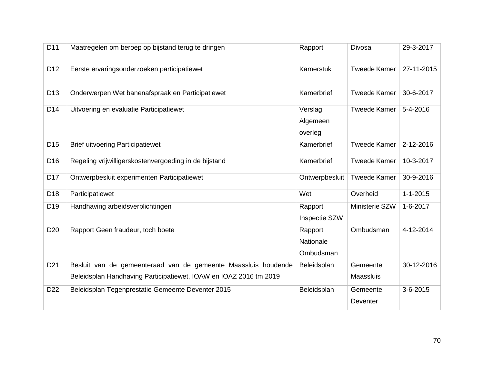| D <sub>11</sub> | Maatregelen om beroep op bijstand terug te dringen                                                                                  | Rapport                           | Divosa                       | 29-3-2017      |
|-----------------|-------------------------------------------------------------------------------------------------------------------------------------|-----------------------------------|------------------------------|----------------|
| D <sub>12</sub> | Eerste ervaringsonderzoeken participatiewet                                                                                         | Kamerstuk                         | <b>Tweede Kamer</b>          | 27-11-2015     |
| D <sub>13</sub> | Onderwerpen Wet banenafspraak en Participatiewet                                                                                    | Kamerbrief                        | <b>Tweede Kamer</b>          | 30-6-2017      |
| D <sub>14</sub> | Uitvoering en evaluatie Participatiewet                                                                                             | Verslag<br>Algemeen<br>overleg    | <b>Tweede Kamer</b>          | 5-4-2016       |
| D <sub>15</sub> | <b>Brief uitvoering Participatiewet</b>                                                                                             | Kamerbrief                        | <b>Tweede Kamer</b>          | 2-12-2016      |
| D <sub>16</sub> | Regeling vrijwilligerskostenvergoeding in de bijstand                                                                               | Kamerbrief                        | <b>Tweede Kamer</b>          | 10-3-2017      |
| D <sub>17</sub> | Ontwerpbesluit experimenten Participatiewet                                                                                         | Ontwerpbesluit                    | <b>Tweede Kamer</b>          | 30-9-2016      |
| D <sub>18</sub> | Participatiewet                                                                                                                     | Wet                               | Overheid                     | $1 - 1 - 2015$ |
| D <sub>19</sub> | Handhaving arbeidsverplichtingen                                                                                                    | Rapport<br>Inspectie SZW          | Ministerie SZW               | $1 - 6 - 2017$ |
| D <sub>20</sub> | Rapport Geen fraudeur, toch boete                                                                                                   | Rapport<br>Nationale<br>Ombudsman | Ombudsman                    | 4-12-2014      |
| D <sub>21</sub> | Besluit van de gemeenteraad van de gemeente Maassluis houdende<br>Beleidsplan Handhaving Participatiewet, IOAW en IOAZ 2016 tm 2019 | Beleidsplan                       | Gemeente<br><b>Maassluis</b> | 30-12-2016     |
| D <sub>22</sub> | Beleidsplan Tegenprestatie Gemeente Deventer 2015                                                                                   | Beleidsplan                       | Gemeente<br>Deventer         | 3-6-2015       |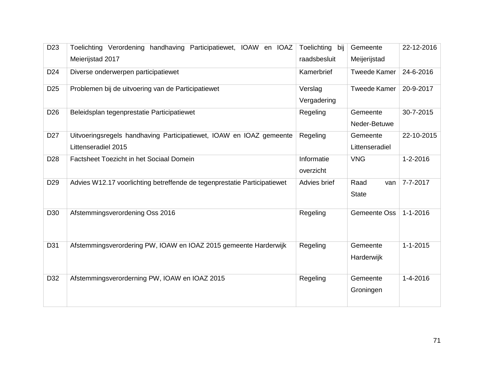| D <sub>23</sub> | Toelichting Verordening handhaving Participatiewet, IOAW en IOAZ                           | Toelichting bij         | Gemeente                    | 22-12-2016     |
|-----------------|--------------------------------------------------------------------------------------------|-------------------------|-----------------------------|----------------|
|                 | Meierijstad 2017                                                                           | raadsbesluit            | Meijerijstad                |                |
| D <sub>24</sub> | Diverse onderwerpen participatiewet                                                        | Kamerbrief              | <b>Tweede Kamer</b>         | 24-6-2016      |
| D <sub>25</sub> | Problemen bij de uitvoering van de Participatiewet                                         | Verslag<br>Vergadering  | <b>Tweede Kamer</b>         | 20-9-2017      |
| D <sub>26</sub> | Beleidsplan tegenprestatie Participatiewet                                                 | Regeling                | Gemeente<br>Neder-Betuwe    | 30-7-2015      |
| D <sub>27</sub> | Uitvoeringsregels handhaving Participatiewet, IOAW en IOAZ gemeente<br>Littenseradiel 2015 | Regeling                | Gemeente<br>Littenseradiel  | 22-10-2015     |
| D <sub>28</sub> | Factsheet Toezicht in het Sociaal Domein                                                   | Informatie<br>overzicht | <b>VNG</b>                  | $1 - 2 - 2016$ |
| D <sub>29</sub> | Advies W12.17 voorlichting betreffende de tegenprestatie Participatiewet                   | Advies brief            | Raad<br>van<br><b>State</b> | 7-7-2017       |
| D <sub>30</sub> | Afstemmingsverordening Oss 2016                                                            | Regeling                | <b>Gemeente Oss</b>         | $1 - 1 - 2016$ |
| D31             | Afstemmingsverordering PW, IOAW en IOAZ 2015 gemeente Harderwijk                           | Regeling                | Gemeente<br>Harderwijk      | $1 - 1 - 2015$ |
| D32             | Afstemmingsverorderning PW, IOAW en IOAZ 2015                                              | Regeling                | Gemeente<br>Groningen       | $1 - 4 - 2016$ |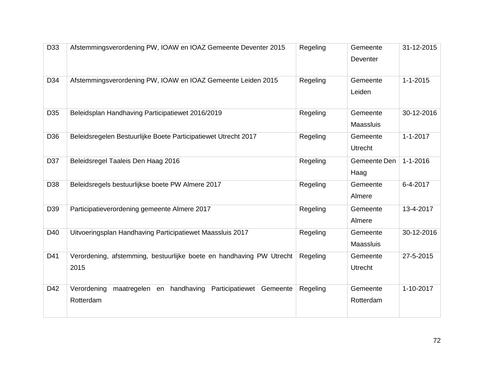| D33             | Afstemmingsverordening PW, IOAW en IOAZ Gemeente Deventer 2015                    | Regeling | Gemeente<br>Deventer         | 31-12-2015     |
|-----------------|-----------------------------------------------------------------------------------|----------|------------------------------|----------------|
| D34             | Afstemmingsverordening PW, IOAW en IOAZ Gemeente Leiden 2015                      | Regeling | Gemeente<br>Leiden           | $1 - 1 - 2015$ |
| D <sub>35</sub> | Beleidsplan Handhaving Participatiewet 2016/2019                                  | Regeling | Gemeente<br><b>Maassluis</b> | 30-12-2016     |
| D36             | Beleidsregelen Bestuurlijke Boete Participatiewet Utrecht 2017                    | Regeling | Gemeente<br><b>Utrecht</b>   | $1 - 1 - 2017$ |
| D37             | Beleidsregel Taaleis Den Haag 2016                                                | Regeling | Gemeente Den<br>Haag         | $1 - 1 - 2016$ |
| D38             | Beleidsregels bestuurlijkse boete PW Almere 2017                                  | Regeling | Gemeente<br>Almere           | 6-4-2017       |
| D39             | Participatieverordening gemeente Almere 2017                                      | Regeling | Gemeente<br>Almere           | 13-4-2017      |
| D40             | Uitvoeringsplan Handhaving Participatiewet Maassluis 2017                         | Regeling | Gemeente<br><b>Maassluis</b> | 30-12-2016     |
| D41             | Verordening, afstemming, bestuurlijke boete en handhaving PW Utrecht<br>2015      | Regeling | Gemeente<br>Utrecht          | 27-5-2015      |
| D42             | Verordening<br>maatregelen en handhaving<br>Participatiewet Gemeente<br>Rotterdam | Regeling | Gemeente<br>Rotterdam        | 1-10-2017      |